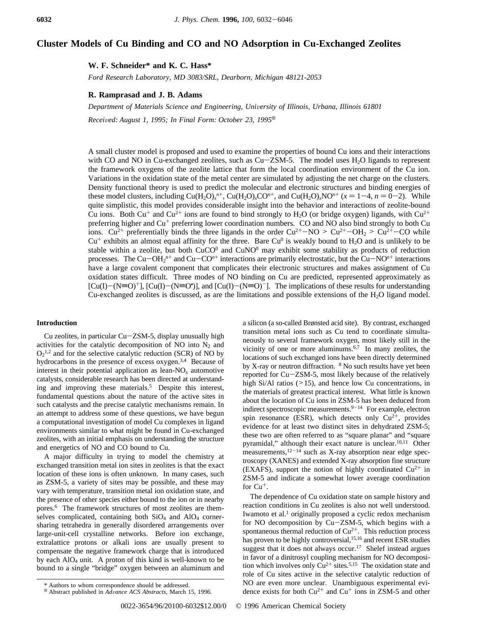# **Cluster Models of Cu Binding and CO and NO Adsorption in Cu-Exchanged Zeolites**

## **W. F. Schneider\* and K. C. Hass\***

*Ford Research Laboratory, MD 3083/SRL, Dearborn, Michigan 48121-2053*

### **R. Ramprasad and J. B. Adams**

*Department of Materials Science and Engineering, University of Illinois, Urbana, Illinois 61801 Received: August 1, 1995; In Final Form: October 23, 1995*<sup>®</sup>

A small cluster model is proposed and used to examine the properties of bound Cu ions and their interactions with CO and NO in Cu-exchanged zeolites, such as  $Cu-ZSM-5$ . The model uses  $H_2O$  ligands to represent the framework oxygens of the zeolite lattice that form the local coordination environment of the Cu ion. Variations in the oxidation state of the metal center are simulated by adjusting the net charge on the clusters. Density functional theory is used to predict the molecular and electronic structures and binding energies of these model clusters, including  $Cu(H_2O)_x^n$ <sup>+</sup>,  $Cu(H_2O)_xCO^{n+}$ , and  $Cu(H_2O)_xNO^{n+}$  ( $x = 1-4$ ,  $n = 0-2$ ). While quite simplistic, this model provides considerable insight into the behavior and interactions of zeolite-bound Cu ions. Both Cu<sup>+</sup> and Cu<sup>2+</sup> ions are found to bind strongly to H<sub>2</sub>O (or bridge oxygen) ligands, with Cu<sup>2+</sup> preferring higher and Cu<sup>+</sup> preferring lower coordination numbers. CO and NO also bind strongly to both Cu ions.  $Cu^{2+}$  preferentially binds the three ligands in the order  $Cu^{2+}-NO > Cu^{2+}-OH_2 > Cu^{2+}-CO$  while  $Cu<sup>+</sup>$  exhibits an almost equal affinity for the three. Bare  $Cu<sup>0</sup>$  is weakly bound to H<sub>2</sub>O and is unlikely to be stable within a zeolite, but both  $CuCO<sup>0</sup>$  and  $CuNO<sup>0</sup>$  may exhibit some stability as products of reduction processes. The Cu-OH<sub>2</sub><sup>n+</sup> and Cu-CO<sup>n+</sup> interactions are primarily electrostatic, but the Cu-NO<sup>n+</sup> interactions<br>have a large covalent component that complicates their electronic structures and makes assignment of Cu have a large covalent component that complicates their electronic structures and makes assignment of Cu oxidation states difficult. Three modes of NO binding on Cu are predicted, represented approximately as  $[Cu(I) - (N\equiv O)^+]$ ,  $[Cu(I) - (N\equiv O)^-]$ , and  $[Cu(I) - (N\equiv O)^-]$ . The implications of these results for understanding  $Cu$ -exchanged zeolites is discussed as are the limitations and possible extensions of the H-O ligand model Cu-exchanged zeolites is discussed, as are the limitations and possible extensions of the H2O ligand model.

### **Introduction**

Cu zeolites, in particular Cu-ZSM-5, display unusually high activities for the catalytic decomposition of NO into  $N_2$  and  $O_2$ <sup>1,2</sup> and for the selective catalytic reduction (SCR) of NO by hydrocarbons in the presence of excess oxygen.<sup>3,4</sup> Because of interest in their potential application as lean-NO*<sup>x</sup>* automotive catalysts, considerable research has been directed at understanding and improving these materials.<sup>5</sup> Despite this interest, fundamental questions about the nature of the active sites in such catalysts and the precise catalytic mechanisms remain. In an attempt to address some of these questions, we have begun a computational investigation of model Cu complexes in ligand environments similar to what might be found in Cu-exchanged zeolites, with an initial emphasis on understanding the structure and energetics of NO and CO bound to Cu.

A major difficulty in trying to model the chemistry at exchanged transition metal ion sites in zeolites is that the exact location of these ions is often unknown. In many cases, such as ZSM-5, a variety of sites may be possible, and these may vary with temperature, transition metal ion oxidation state, and the presence of other species either bound to the ion or in nearby pores.6 The framework structures of most zeolites are themselves complicated, containing both  $SiO<sub>4</sub>$  and  $AlO<sub>4</sub>$  cornersharing tetrahedra in generally disordered arrangements over large-unit-cell crystalline networks. Before ion exchange, extralattice protons or alkali ions are usually present to compensate the negative framework charge that is introduced by each AlO4 unit. A proton of this kind is well-known to be bound to a single "bridge" oxygen between an aluminum and

<sup>X</sup> Abstract published in *Ad*V*ance ACS Abstracts,* March 15, 1996.

a silicon (a so-called Brønsted acid site). By contrast, exchanged transition metal ions such as Cu tend to coordinate simultaneously to several framework oxygen, most likely still in the vicinity of one or more aluminums. $6,7$  In many zeolites, the locations of such exchanged ions have been directly determined by X-ray or neutron diffraction. <sup>8</sup> No such results have yet been reported for Cu-ZSM-5, most likely because of the relatively high Si/Al ratios  $(>15)$ , and hence low Cu concentrations, in the materials of greatest practical interest. What little is known about the location of Cu ions in ZSM-5 has been deduced from indirect spectroscopic measurements. $9-14$  For example, electron spin resonance (ESR), which detects only  $Cu^{2+}$ , provides evidence for at least two distinct sites in dehydrated ZSM-5; these two are often referred to as "square planar" and "square pyramidal," although their exact nature is unclear.<sup>10,11</sup> Other measurements, $12-14$  such as X-ray absorption near edge spectroscopy (XANES) and extended X-ray absorption fine structure (EXAFS), support the notion of highly coordinated  $Cu^{2+}$  in ZSM-5 and indicate a somewhat lower average coordination for  $Cu<sup>+</sup>$ .

The dependence of Cu oxidation state on sample history and reaction conditions in Cu zeolites is also not well understood. Iwamoto et al.1 originally proposed a cyclic redox mechanism for NO decomposition by Cu-ZSM-5, which begins with a spontaneous thermal reduction of  $Cu^{2+}$ . This reduction process has proven to be highly controversial,<sup>15,16</sup> and recent ESR studies suggest that it does not always occur.17 Shelef instead argues in favor of a dinitrosyl coupling mechanism for NO decomposition which involves only  $Cu^{2+}$  sites.<sup>5,15</sup> The oxidation state and role of Cu sites active in the selective catalytic reduction of NO are even more unclear. Unambiguous experimental evidence exists for both  $Cu^{2+}$  and  $Cu^{+}$  ions in ZSM-5 and other

<sup>\*</sup> Authors to whom correspondence should be addressed.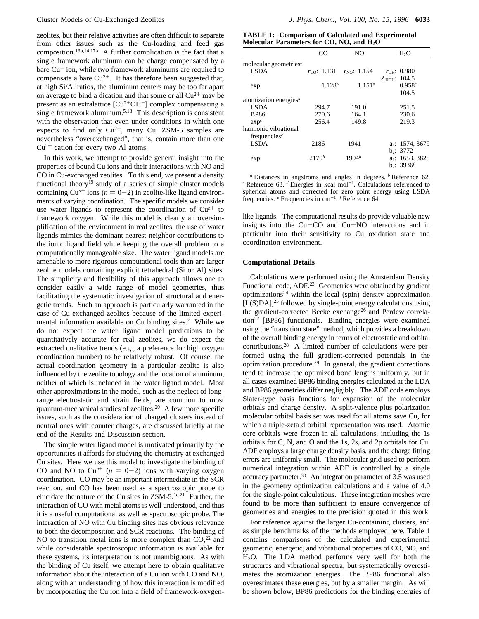zeolites, but their relative activities are often difficult to separate from other issues such as the Cu-loading and feed gas composition.13b,14,17b A further complication is the fact that a single framework aluminum can be charge compensated by a bare  $Cu<sup>+</sup>$  ion, while two framework aluminums are required to compensate a bare  $Cu^{2+}$ . It has therefore been suggested that, at high Si/Al ratios, the aluminum centers may be too far apart on average to bind a dication and that some or all  $Cu^{2+}$  may be present as an extralattice  $[Cu^{2+}OH^-]$  complex compensating a single framework aluminum.<sup>5,18</sup> This description is consistent with the observation that even under conditions in which one expects to find only  $Cu^{2+}$ , many  $Cu-ZSM-5$  samples are nevertheless "overexchanged", that is, contain more than one  $Cu<sup>2+</sup>$  cation for every two Al atoms.

In this work, we attempt to provide general insight into the properties of bound Cu ions and their interactions with NO and CO in Cu-exchanged zeolites. To this end, we present a density functional theory<sup>19</sup> study of a series of simple cluster models containing Cu<sup>n+</sup> ions ( $n = 0-2$ ) in zeolite-like ligand environments of varying coordination. The specific models we consider use water ligands to represent the coordination of  $Cu<sup>n+</sup>$  to framework oxygen. While this model is clearly an oversimplification of the environment in real zeolites, the use of water ligands mimics the dominant nearest-neighbor contributions to the ionic ligand field while keeping the overall problem to a computationally manageable size. The water ligand models are amenable to more rigorous computational tools than are larger zeolite models containing explicit tetrahedral (Si or Al) sites. The simplicity and flexibility of this approach allows one to consider easily a wide range of model geometries, thus facilitating the systematic investigation of structural and energetic trends. Such an approach is particularly warranted in the case of Cu-exchanged zeolites because of the limited experimental information available on Cu binding sites.7 While we do not expect the water ligand model predictions to be quantitatively accurate for real zeolites, we do expect the extracted qualitative trends (e.g., a preference for high oxygen coordination number) to be relatively robust. Of course, the actual coordination geometry in a particular zeolite is also influenced by the zeolite topology and the location of aluminum, neither of which is included in the water ligand model. Most other approximations in the model, such as the neglect of longrange electrostatic and strain fields, are common to most quantum-mechanical studies of zeolites.20 A few more specific issues, such as the consideration of charged clusters instead of neutral ones with counter charges, are discussed briefly at the end of the Results and Discussion section.

The simple water ligand model is motivated primarily by the opportunities it affords for studying the chemistry at exchanged Cu sites. Here we use this model to investigate the binding of CO and NO to  $Cu^{n+}$  ( $n = 0-2$ ) ions with varying oxygen coordination. CO may be an important intermediate in the SCR reaction, and CO has been used as a spectroscopic probe to elucidate the nature of the Cu sites in  $ZSM-5$ .<sup>1c,21</sup> Further, the interaction of CO with metal atoms is well understood, and thus it is a useful computational as well as spectroscopic probe. The interaction of NO with Cu binding sites has obvious relevance to both the decomposition and SCR reactions. The binding of NO to transition metal ions is more complex than  $CO<sub>1</sub><sup>22</sup>$  and while considerable spectroscopic information is available for these systems, its interpretation is not unambiguous. As with the binding of Cu itself, we attempt here to obtain qualitative information about the interaction of a Cu ion with CO and NO, along with an understanding of how this interaction is modified by incorporating the Cu ion into a field of framework-oxygen-

**TABLE 1: Comparison of Calculated and Experimental Molecular Parameters for CO, NO, and H2O**

|                                                | CO                                        | NO.                | H <sub>2</sub> O                |
|------------------------------------------------|-------------------------------------------|--------------------|---------------------------------|
| molecular geometries <sup><i>a</i></sup>       |                                           |                    |                                 |
| <b>LSDA</b>                                    | $r_{\rm CO}$ : 1.131 $r_{\rm NO}$ : 1.154 |                    | $r_{\text{OH}}$ : 0.980         |
|                                                |                                           |                    | $\angle$ <sub>HOH</sub> : 104.5 |
| exp                                            | 1.128 <sup>b</sup>                        | 1.151 <sup>b</sup> | 0.958c                          |
|                                                |                                           |                    | 104.5                           |
| atomization energies <sup><math>d</math></sup> |                                           |                    |                                 |
| <b>LSDA</b>                                    | 294.7                                     | 191.0              | 251.5                           |
| <b>BP86</b>                                    | 270.6                                     | 164.1              | 230.6                           |
| exp <sup>c</sup>                               | 256.4                                     | 149.8              | 219.3                           |
| harmonic vibrational                           |                                           |                    |                                 |
| frequencies $e$                                |                                           |                    |                                 |
| <b>LSDA</b>                                    | 2186                                      | 1941               | $a_1$ : 1574, 3679              |
|                                                |                                           |                    | $b_2$ : 3772                    |
| exp                                            | $2170^b$                                  | $1904^b$           | $a_1$ : 1653, 3825              |
|                                                |                                           |                    | $b_2$ : 3936 <sup>f</sup>       |

*<sup>a</sup>* Distances in angstroms and angles in degrees. *<sup>b</sup>* Reference 62.  $c$  Reference 63. *d* Energies in kcal mol<sup>-1</sup>. Calculations referenced to spherical atoms and corrected for zero point energy using LSDA frequencies. *<sup>e</sup>* Frequencies in cm-<sup>1</sup> . *<sup>f</sup>* Reference 64.

like ligands. The computational results do provide valuable new insights into the Cu-CO and Cu-NO interactions and in particular into their sensitivity to Cu oxidation state and coordination environment.

### **Computational Details**

Calculations were performed using the Amsterdam Density Functional code, ADF.<sup>23</sup> Geometries were obtained by gradient optimizations<sup>24</sup> within the local (spin) density approximation  $[L(S)DA]$ <sup>25</sup> followed by single-point energy calculations using the gradient-corrected Becke exchange<sup>26</sup> and Perdew correlation<sup>27</sup> [BP86] functionals. Binding energies were examined using the "transition state" method, which provides a breakdown of the overall binding energy in terms of electrostatic and orbital contributions.28 A limited number of calculations were performed using the full gradient-corrected potentials in the optimization procedure.<sup>29</sup> In general, the gradient corrections tend to increase the optimized bond lengths uniformly, but in all cases examined BP86 binding energies calculated at the LDA and BP86 geometries differ negligibly. The ADF code employs Slater-type basis functions for expansion of the molecular orbitals and charge density. A split-valence plus polarization molecular orbital basis set was used for all atoms save Cu, for which a triple-zeta d orbital representation was used. Atomic core orbitals were frozen in all calculations, including the 1s orbitals for C, N, and O and the 1s, 2s, and 2p orbitals for Cu. ADF employs a large charge density basis, and the charge fitting errors are uniformly small. The molecular grid used to perform numerical integration within ADF is controlled by a single accuracy parameter.30 An integration parameter of 3.5 was used in the geometry optimization calculations and a value of 4.0 for the single-point calculations. These integration meshes were found to be more than sufficient to ensure convergence of geometries and energies to the precision quoted in this work.

For reference against the larger Cu-containing clusters, and as simple benchmarks of the methods employed here, Table 1 contains comparisons of the calculated and experimental geometric, energetic, and vibrational properties of CO, NO, and H2O. The LDA method performs very well for both the structures and vibrational spectra, but systematically overestimates the atomization energies. The BP86 functional also overestimates these energies, but by a smaller margin. As will be shown below, BP86 predictions for the binding energies of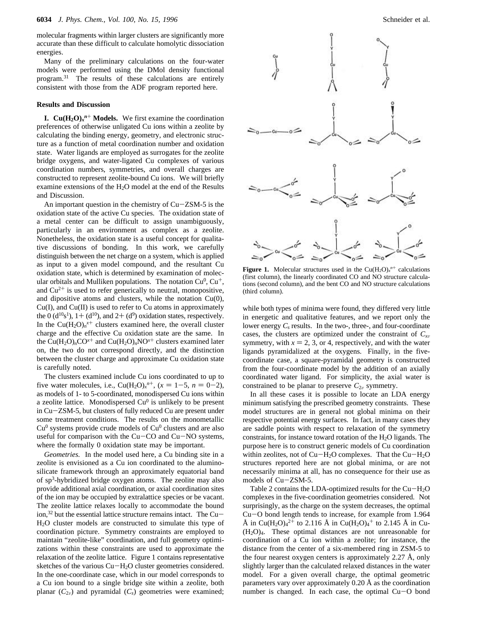molecular fragments within larger clusters are significantly more accurate than these difficult to calculate homolytic dissociation energies.

Many of the preliminary calculations on the four-water models were performed using the DMol density functional program.31 The results of these calculations are entirely consistent with those from the ADF program reported here.

#### **Results and Discussion**

**I.**  $Cu(H<sub>2</sub>O)<sub>x</sub><sup>n+</sup>$  **Models.** We first examine the coordination preferences of otherwise unligated Cu ions within a zeolite by calculating the binding energy, geometry, and electronic structure as a function of metal coordination number and oxidation state. Water ligands are employed as surrogates for the zeolite bridge oxygens, and water-ligated Cu complexes of various coordination numbers, symmetries, and overall charges are constructed to represent zeolite-bound Cu ions. We will briefly examine extensions of the  $H<sub>2</sub>O$  model at the end of the Results and Discussion.

An important question in the chemistry of Cu-ZSM-5 is the oxidation state of the active Cu species. The oxidation state of a metal center can be difficult to assign unambiguously, particularly in an environment as complex as a zeolite. Nonetheless, the oxidation state is a useful concept for qualitative discussions of bonding. In this work, we carefully distinguish between the net charge on a system, which is applied as input to a given model compound, and the resultant Cu oxidation state, which is determined by examination of molecular orbitals and Mulliken populations. The notation  $Cu^0$ ,  $Cu^+$ , and  $Cu^{2+}$  is used to refer generically to neutral, monopositive, and dipositive atoms and clusters, while the notation  $Cu(0)$ ,  $Cu(I)$ , and  $Cu(II)$  is used to refer to Cu atoms in approximately the 0 ( $d^{10}s^1$ ),  $1+(d^{10})$ , and  $2+(d^9)$  oxidation states, respectively. In the  $Cu(H<sub>2</sub>O)<sub>n</sub><sup>x+</sup>$  clusters examined here, the overall cluster charge and the effective Cu oxidation state are the same. In the Cu(H<sub>2</sub>O)<sub>n</sub>CO<sup>x+</sup> and Cu(H<sub>2</sub>O)<sub>n</sub>NO<sup>x+</sup> clusters examined later on, the two do not correspond directly, and the distinction between the cluster charge and approximate Cu oxidation state is carefully noted.

The clusters examined include Cu ions coordinated to up to five water molecules, i.e.,  $Cu(H_2O)_x^{n+}$ ,  $(x = 1-5, n = 0-2)$ ,<br>as models of 1-to 5-coordinated, monodispersed Cu ions within as models of 1- to 5-coordinated, monodispersed Cu ions within a zeolite lattice. Monodispersed  $Cu<sup>0</sup>$  is unlikely to be present in Cu-ZSM-5, but clusters of fully reduced Cu are present under some treatment conditions. The results on the monometallic  $Cu<sup>0</sup>$  systems provide crude models of  $Cu<sup>0</sup>$  clusters and are also useful for comparison with the Cu-CO and Cu-NO systems, where the formally 0 oxidation state may be important.

*Geometries.* In the model used here, a Cu binding site in a zeolite is envisioned as a Cu ion coordinated to the aluminosilicate framework through an approximately equatorial band of sp3-hybridized bridge oxygen atoms. The zeolite may also provide additional axial coordination, or axial coordination sites of the ion may be occupied by extralattice species or be vacant. The zeolite lattice relaxes locally to accommodate the bound ion,<sup>32</sup> but the essential lattice structure remains intact. The Cu-H2O cluster models are constructed to simulate this type of coordination picture. Symmetry constraints are employed to maintain "zeolite-like" coordination, and full geometry optimizations within these constraints are used to approximate the relaxation of the zeolite lattice. Figure 1 contains representative sketches of the various Cu-H2O cluster geometries considered. In the one-coordinate case, which in our model corresponds to a Cu ion bound to a single bridge site within a zeolite, both planar  $(C_{2v})$  and pyramidal  $(C_s)$  geometries were examined;



**Figure 1.** Molecular structures used in the Cu( $H_2O$ )<sub>x</sub><sup>n+</sup> calculations (first column), the linearly coordinated CO and NO structure calculations (second column), and the bent CO and NO structure calculations (third column).

while both types of minima were found, they differed very little in energetic and qualitative features, and we report only the lower energy  $C_s$  results. In the two-, three-, and four-coordinate cases, the clusters are optimized under the constraint of  $C_{xy}$ symmetry, with  $x = 2, 3$ , or 4, respectively, and with the water ligands pyramidalized at the oxygens. Finally, in the fivecoordinate case, a square-pyramidal geometry is constructed from the four-coordinate model by the addition of an axially coordinated water ligand. For simplicity, the axial water is constrained to be planar to preserve  $C_{2v}$  symmetry.

In all these cases it is possible to locate an LDA energy minimum satisfying the prescribed geometry constraints. These model structures are in general not global minima on their respective potential energy surfaces. In fact, in many cases they are saddle points with respect to relaxation of the symmetry constraints, for instance toward rotation of the H2O ligands. The purpose here is to construct generic models of Cu coordination within zeolites, not of  $Cu-H_2O$  complexes. That the  $Cu-H_2O$ structures reported here are not global minima, or are not necessarily minima at all, has no consequence for their use as models of Cu-ZSM-5.

Table 2 contains the LDA-optimized results for the  $Cu-H<sub>2</sub>O$ complexes in the five-coordination geometries considered. Not surprisingly, as the charge on the system decreases, the optimal Cu-O bond length tends to increase, for example from 1.964  $\rm \AA$  in Cu(H<sub>2</sub>O)<sub>4</sub><sup>2+</sup> to 2.116  $\rm \AA$  in Cu(H<sub>2</sub>O)<sub>4</sub><sup>+</sup> to 2.145  $\rm \AA$  in Cu-(H2O)4. These optimal distances are not unreasonable for coordination of a Cu ion within a zeolite; for instance, the distance from the center of a six-membered ring in ZSM-5 to the four nearest oxygen centers is approximately 2.27 Å, only slightly larger than the calculated relaxed distances in the water model. For a given overall charge, the optimal geometric parameters vary over approximately 0.20 Å as the coordination number is changed. In each case, the optimal Cu-O bond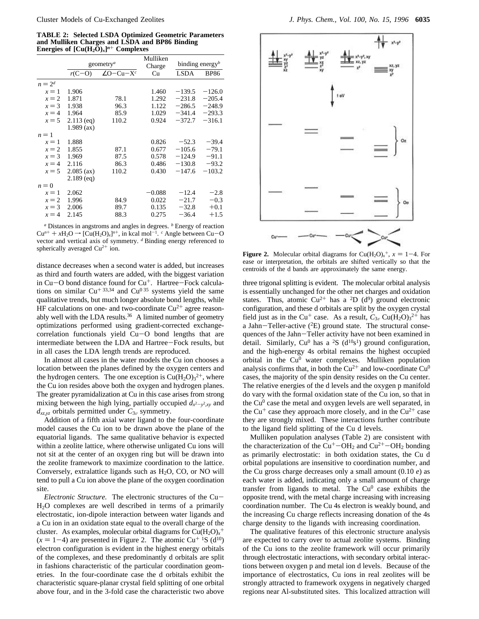**TABLE 2: Selected LSDA Optimized Geometric Parameters and Mulliken Charges and LSDA and BP86 Binding Energies of**  $[Cu(H<sub>2</sub>O)<sub>x</sub>]<sup>n+</sup>$  **Complexes** 

|         |              | geometry <sup><i>a</i></sup> | Mulliken<br>Charge | binding energy <sup>b</sup> |             |  |
|---------|--------------|------------------------------|--------------------|-----------------------------|-------------|--|
|         | $r(C-O)$     | $\angle$ O-Cu-X <sup>c</sup> | Cu                 | <b>LSDA</b>                 | <b>BP86</b> |  |
| $n=2^d$ |              |                              |                    |                             |             |  |
| $x=1$   | 1.906        |                              | 1.460              | $-139.5$                    | $-126.0$    |  |
| $x = 2$ | 1.871        | 78.1                         | 1.292              | $-231.8$                    | $-205.4$    |  |
| $x = 3$ | 1.938        | 96.3                         | 1.122              | $-286.5$                    | $-248.9$    |  |
| $x = 4$ | 1.964        | 85.9                         | 1.029              | $-341.4$                    | $-293.3$    |  |
| $x = 5$ | $2.113$ (eq) | 110.2                        | 0.924              | $-372.7$                    | $-316.1$    |  |
|         | $1.989$ (ax) |                              |                    |                             |             |  |
| $n=1$   |              |                              |                    |                             |             |  |
| $x=1$   | 1.888        |                              | 0.826              | $-52.3$                     | $-39.4$     |  |
| $x = 2$ | 1.855        | 87.1                         | 0.677              | $-105.6$                    | $-79.1$     |  |
| $x = 3$ | 1.969        | 87.5                         | 0.578              | $-124.9$                    | $-91.1$     |  |
| $x = 4$ | 2.116        | 86.3                         | 0.486              | $-130.8$                    | $-93.2$     |  |
| $x = 5$ | $2.085$ (ax) | 110.2                        | 0.430              | $-147.6$                    | $-103.2$    |  |
|         | $2.189$ (eq) |                              |                    |                             |             |  |
| $n=0$   |              |                              |                    |                             |             |  |
| $x=1$   | 2.062        |                              | $-0.088$           | $-12.4$                     | $-2.8$      |  |
| $x = 2$ | 1.996        | 84.9                         | 0.022              | $-21.7$                     | $-0.3$      |  |
| $x = 3$ | 2.006        | 89.7                         | 0.135              | $-32.8$                     | $+0.1$      |  |
| $x = 4$ | 2.145        | 88.3                         | 0.275              | $-36.4$                     | $+1.5$      |  |
|         |              |                              |                    |                             |             |  |

*<sup>a</sup>* Distances in angstroms and angles in degrees. *<sup>b</sup>* Energy of reaction  $Cu^{n+} + xH_2O \rightarrow [Cu(H_2O)_x]^{n+}$ , in kcal mol<sup>-1</sup>. *c* Angle between Cu-O vector and vertical axis of symmetry <sup>*d*</sup> Binding energy referenced to vector and vertical axis of symmetry. *<sup>d</sup>* Binding energy referenced to spherically averaged  $Cu^{2+}$  ion.

distance decreases when a second water is added, but increases as third and fourth waters are added, with the biggest variation in Cu-O bond distance found for  $Cu<sup>+</sup>$ . Hartree-Fock calculations on similar  $Cu^{+33,34}$  and  $Cu^{0.35}$  systems yield the same qualitative trends, but much longer absolute bond lengths, while HF calculations on one- and two-coordinate  $Cu^{2+}$  agree reasonably well with the LDA results.<sup>36</sup> A limited number of geometry optimizations performed using gradient-corrected exchangecorrelation functionals yield Cu-O bond lengths that are intermediate between the LDA and Hartree-Fock results, but in all cases the LDA length trends are reproduced.

In almost all cases in the water models the Cu ion chooses a location between the planes defined by the oxygen centers and the hydrogen centers. The one exception is  $Cu(H<sub>2</sub>O)<sub>3</sub><sup>2+</sup>$ , where the Cu ion resides above both the oxygen and hydrogen planes. The greater pyramidalization at Cu in this case arises from strong mixing between the high lying, partially occupied  $d_{x^2-y^2,xy}$  and  $d_{xz,yz}$  orbitals permitted under  $C_{3v}$  symmetry.

Addition of a fifth axial water ligand to the four-coordinate model causes the Cu ion to be drawn above the plane of the equatorial ligands. The same qualitative behavior is expected within a zeolite lattice, where otherwise unligated Cu ions will not sit at the center of an oxygen ring but will be drawn into the zeolite framework to maximize coordination to the lattice. Conversely, extralattice ligands such as  $H_2O$ , CO, or NO will tend to pull a Cu ion above the plane of the oxygen coordination site.

*Electronic Structure.* The electronic structures of the Cu-H2O complexes are well described in terms of a primarily electrostatic, ion-dipole interaction between water ligands and a Cu ion in an oxidation state equal to the overall charge of the cluster. As examples, molecular orbital diagrams for  $Cu(H<sub>2</sub>O)<sub>x</sub>$ <sup>+</sup>  $(x = 1-4)$  are presented in Figure 2. The atomic Cu<sup>+ 1</sup>S (d<sup>10</sup>) electron configuration is evident in the highest energy orbitals of the complexes, and these predominantly d orbitals are split in fashions characteristic of the particular coordination geometries. In the four-coordinate case the d orbitals exhibit the characteristic square-planar crystal field splitting of one orbital above four, and in the 3-fold case the characteristic two above



**Figure 2.** Molecular orbital diagrams for  $Cu(H<sub>2</sub>O)<sub>x</sub><sup>+</sup>$ ,  $x = 1-4$ . For ease or interpretation, the orbitals are shifted vertically so that the ease or interpretation, the orbitals are shifted vertically so that the centroids of the d bands are approximately the same energy.

three trigonal splitting is evident. The molecular orbital analysis is essentially unchanged for the other net charges and oxidation states. Thus, atomic Cu<sup>2+</sup> has a <sup>2</sup>D (d<sup>9</sup>) ground electronic configuration, and these d orbitals are split by the oxygen crystal field just as in the Cu<sup>+</sup> case. As a result,  $C_{3v}$  Cu(H<sub>2</sub>O)<sub>3</sub><sup>2+</sup> has a Jahn-Teller-active  $(^{2}E)$  ground state. The structural consequences of the Jahn-Teller activity have not been examined in detail. Similarly, Cu<sup>0</sup> has a <sup>2</sup>S ( $d^{10}s^{1}$ ) ground configuration, and the high-energy 4s orbital remains the highest occupied orbital in the Cu<sup>0</sup> water complexes. Mulliken population analysis confirms that, in both the  $Cu^{2+}$  and low-coordinate  $Cu^{0}$ cases, the majority of the spin density resides on the Cu center. The relative energies of the d levels and the oxygen p manifold do vary with the formal oxidation state of the Cu ion, so that in the  $Cu<sup>0</sup>$  case the metal and oxygen levels are well separated, in the  $Cu<sup>+</sup>$  case they approach more closely, and in the  $Cu<sup>2+</sup>$  case they are strongly mixed. These interactions further contribute to the ligand field splitting of the Cu d levels.

Mulliken population analyses (Table 2) are consistent with the characterization of the  $Cu^{+}-OH_{2}$  and  $Cu^{2+}-OH_{2}$  bonding as primarily electrostatic: in both oxidation states, the Cu d orbital populations are insensitive to coordination number, and the Cu gross charge decreases only a small amount (0.10 *e*) as each water is added, indicating only a small amount of charge transfer from ligands to metal. The  $Cu<sup>0</sup>$  case exhibits the opposite trend, with the metal charge increasing with increasing coordination number. The Cu 4s electron is weakly bound, and the increasing Cu charge reflects increasing donation of the 4s charge density to the ligands with increasing coordination.

The qualitative features of this electronic structure analysis are expected to carry over to actual zeolite systems. Binding of the Cu ions to the zeolite framework will occur primarily through electrostatic interactions, with secondary orbital interactions between oxygen p and metal ion d levels. Because of the importance of electrostatics, Cu ions in real zeolites will be strongly attracted to framework oxygens in negatively charged regions near Al-substituted sites. This localized attraction will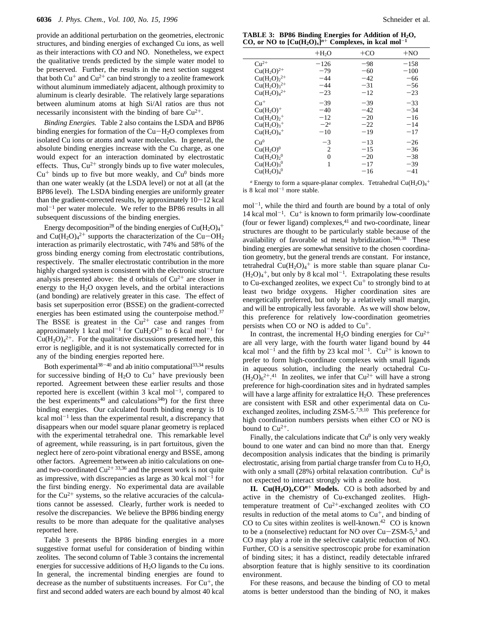provide an additional perturbation on the geometries, electronic structures, and binding energies of exchanged Cu ions, as well as their interactions with CO and NO. Nonetheless, we expect the qualitative trends predicted by the simple water model to be preserved. Further, the results in the next section suggest that both  $Cu<sup>+</sup>$  and  $Cu<sup>2+</sup>$  can bind strongly to a zeolite framework without aluminum immediately adjacent, although proximity to aluminum is clearly desirable. The relatively large separations between aluminum atoms at high Si/Al ratios are thus not necessarily inconsistent with the binding of bare  $Cu^{2+}$ .

*Binding Energies.* Table 2 also contains the LSDA and BP86 binding energies for formation of the  $Cu-H<sub>2</sub>O$  complexes from isolated Cu ions or atoms and water molecules. In general, the absolute binding energies increase with the Cu charge, as one would expect for an interaction dominated by electrostatic effects. Thus,  $Cu^{2+}$  strongly binds up to five water molecules,  $Cu<sup>+</sup>$  binds up to five but more weakly, and  $Cu<sup>0</sup>$  binds more than one water weakly (at the LSDA level) or not at all (at the BP86 level). The LSDA binding energies are uniformly greater than the gradient-corrected results, by approximately  $10-12$  kcal  $mol^{-1}$  per water molecule. We refer to the BP86 results in all subsequent discussions of the binding energies.

Energy decomposition<sup>28</sup> of the binding energies of  $Cu(H<sub>2</sub>O)<sub>4</sub>$ <sup>+</sup> and  $Cu(H_2O)_4^{2+}$  supports the characterization of the  $Cu-OH_2$ <br>interaction as primarily electrostatic, with 74% and 58% of the interaction as primarily electrostatic, with 74% and 58% of the gross binding energy coming from electrostatic contributions, respectively. The smaller electrostatic contribution in the more highly charged system is consistent with the electronic structure analysis presented above: the d orbitals of  $Cu^{2+}$  are closer in energy to the H2O oxygen levels, and the orbital interactions (and bonding) are relatively greater in this case. The effect of basis set superposition error (BSSE) on the gradient-corrected energies has been estimated using the counterpoise method.<sup>37</sup> The BSSE is greatest in the  $Cu^{2+}$  case and ranges from approximately 1 kcal mol<sup>-1</sup> for CuH<sub>2</sub>O<sup>2+</sup> to 6 kcal mol<sup>-1</sup> for  $Cu(H<sub>2</sub>O)<sub>4</sub><sup>2+</sup>$ . For the qualitative discussions presented here, this error is negligible, and it is not systematically corrected for in any of the binding energies reported here.

Both experimental $38-40$  and ab initio computational  $33,34$  results for successive binding of  $H_2O$  to  $Cu^+$  have previously been reported. Agreement between these earlier results and those reported here is excellent (within 3 kcal mol<sup>-1</sup>, compared to the best experiments<sup>40</sup> and calculations<sup>34b</sup>) for the first three binding energies. Our calculated fourth binding energy is 10 kcal mol<sup>-1</sup> less than the experimental result, a discrepancy that disappears when our model square planar geometry is replaced with the experimental tetrahedral one. This remarkable level of agreement, while reassuring, is in part fortuitous, given the neglect here of zero-point vibrational energy and BSSE, among other factors. Agreement between ab initio calculations on oneand two-coordinated  $Cu^{2+33,36}$  and the present work is not quite as impressive, with discrepancies as large as  $30 \text{ kcal mol}^{-1}$  for the first binding energy. No experimental data are available for the  $Cu^{2+}$  systems, so the relative accuracies of the calculations cannot be assessed. Clearly, further work is needed to resolve the discrepancies. We believe the BP86 binding energy results to be more than adequate for the qualitative analyses reported here.

Table 3 presents the BP86 binding energies in a more suggestive format useful for consideration of binding within zeolites. The second column of Table 3 contains the incremental energies for successive additions of H2O ligands to the Cu ions. In general, the incremental binding energies are found to decrease as the number of substituents increases. For  $Cu<sup>+</sup>$ , the first and second added waters are each bound by almost 40 kcal

|                                                                                                                                                      | $+H2O$                                     | $+CO$                                     | $+NO$                                      |
|------------------------------------------------------------------------------------------------------------------------------------------------------|--------------------------------------------|-------------------------------------------|--------------------------------------------|
| $Cu2+$<br>$Cu(H2O)2+$<br>$Cu(H2O)22+$<br>$Cu(H2O)32+$<br>$Cu(H2O)42+$                                                                                | $-126$<br>$-79$<br>$-44$<br>$-44$<br>$-23$ | $-98$<br>$-60$<br>$-42$<br>$-31$<br>$-12$ | $-1.58$<br>$-100$<br>-66<br>$-56$<br>$-23$ |
| $Cu+$<br>$Cu(H2O)+$<br>$Cu(H2O)2$ <sup>+</sup><br>$Cu(H2O)3$ <sup>+</sup><br>$Cu(H2O)4$ <sup>+</sup>                                                 | $-39$<br>$-40$<br>$-12$<br>$-2^a$<br>$-10$ | $-39$<br>$-42$<br>$-20$<br>$-22$<br>$-19$ | $-33$<br>$-34$<br>$-16$<br>$-14$<br>$-17$  |
| $C11$ <sup>0</sup><br>Cu(H <sub>2</sub> O) <sup>0</sup><br>$Cu(H2O)20$<br>Cu(H <sub>2</sub> O) <sub>3</sub> 0<br>Cu(H <sub>2</sub> O) <sub>4</sub> 0 | $-3$<br>2<br>$\theta$<br>1                 | $-13$<br>$-15$<br>$-20$<br>$-17$<br>$-16$ | $-26$<br>$-36$<br>$-38$<br>$-39$<br>$-41$  |

<sup>*a*</sup> Energy to form a square-planar complex. Tetrahedral  $Cu(H<sub>2</sub>O)<sub>4</sub>$ <sup>+</sup> is 8 kcal mol<sup> $-1$ </sup> more stable.

 $mol^{-1}$ , while the third and fourth are bound by a total of only 14 kcal mol<sup>-1</sup>. Cu<sup>+</sup> is known to form primarily low-coordinate (four or fewer ligand) complexes, $41$  and two-coordinate, linear structures are thought to be particularly stable because of the availability of favorable sd metal hybridization.34b,38 These binding energies are somewhat sensitive to the chosen coordination geometry, but the general trends are constant. For instance, tetrahedral  $Cu(H<sub>2</sub>O)<sub>4</sub><sup>+</sup>$  is more stable than square planar Cu- $(H<sub>2</sub>O)<sub>4</sub><sup>+</sup>$ , but only by 8 kcal mol<sup>-1</sup>. Extrapolating these results to Cu-exchanged zeolites, we expect  $Cu<sup>+</sup>$  to strongly bind to at least two bridge oxygens. Higher coordination sites are energetically preferred, but only by a relatively small margin, and will be entropically less favorable. As we will show below, this preference for relatively low-coordination geometries persists when CO or NO is added to Cu+.

In contrast, the incremental H<sub>2</sub>O binding energies for  $Cu^{2+}$ are all very large, with the fourth water ligand bound by 44 kcal mol<sup>-1</sup> and the fifth by 23 kcal mol<sup>-1</sup>.  $Cu^{2+}$  is known to prefer to form high-coordinate complexes with small ligands in aqueous solution, including the nearly octahedral Cu-  $(H_2O)_6^{2^+}.^{41}$  In zeolites, we infer that  $Cu^{2^+}$  will have a strong preference for high-coordination sites and in hydrated samples will have a large affinity for extralattice H<sub>2</sub>O. These preferences are consistent with ESR and other experimental data on Cuexchanged zeolites, including  $ZSM-5^{7,9,10}$  This preference for high coordination numbers persists when either CO or NO is bound to  $Cu^{2+}$ .

Finally, the calculations indicate that  $Cu<sup>0</sup>$  is only very weakly bound to one water and can bind no more than that. Energy decomposition analysis indicates that the binding is primarily electrostatic, arising from partial charge transfer from Cu to  $H_2O$ , with only a small  $(28%)$  orbital relaxation contribution. Cu<sup>0</sup> is not expected to interact strongly with a zeolite host.

**II.**  $Cu(H_2O)_xCO^{n+}$  **Models.** CO is both adsorbed by and active in the chemistry of Cu-exchanged zeolites. Hightemperature treatment of  $Cu^{2+}$ -exchanged zeolites with CO results in reduction of the metal atoms to  $Cu<sup>+</sup>$ , and binding of CO to Cu sites within zeolites is well-known.<sup>42</sup> CO is known to be a (nonselective) reductant for NO over  $Cu-ZSM-5<sup>3</sup>$  and CO may play a role in the selective catalytic reduction of NO. Further, CO is a sensitive spectroscopic probe for examination of binding sites; it has a distinct, readily detectable infrared absorption feature that is highly sensitive to its coordination environment.

For these reasons, and because the binding of CO to metal atoms is better understood than the binding of NO, it makes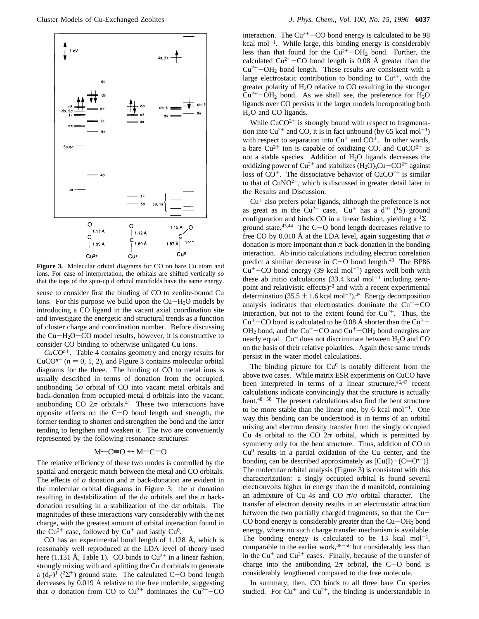

**Figure 3.** Molecular orbital diagrams for CO on bare Cu atom and ions. For ease of interpretation, the orbitals are shifted vertically so that the tops of the spin-up d orbital manifolds have the same energy.

sense to consider first the binding of CO to zeolite-bound Cu ions. For this purpose we build upon the  $Cu-H<sub>2</sub>O$  models by introducing a CO ligand in the vacant axial coordination site and investigate the energetic and structural trends as a function of cluster charge and coordination number. Before discussing the  $Cu-H<sub>2</sub>O-CO$  model results, however, it is constructive to consider CO binding to otherwise unligated Cu ions.

 $CuCO<sup>n+</sup>$ . Table 4 contains geometry and energy results for  $CuCO<sup>n+</sup>$  ( $n = 0, 1, 2$ ), and Figure 3 contains molecular orbital diagrams for the three. The binding of CO to metal ions is usually described in terms of donation from the occupied, antibonding 5*σ* orbital of CO into vacant metal orbitals and back-donation from occupied metal d orbitals into the vacant, antibonding CO  $2\pi$  orbitals.<sup>41</sup> These two interactions have opposite effects on the  $C-O$  bond length and strength, the former tending to shorten and strengthen the bond and the latter tending to lengthen and weaken it. The two are conveniently represented by the following resonance structures:

### $M \leftarrow C \equiv 0 \leftrightarrow M = C \equiv 0$

The relative efficiency of these two modes is controlled by the spatial and energetic match between the metal and CO orbitals. The effects of  $\sigma$  donation and  $\pi$  back-donation are evident in the molecular orbital diagrams in Figure 3: the  $\sigma$  donation resulting in destabilization of the d*σ* orbitals and the *π* backdonation resulting in a stabilization of the d*π* orbitals. The magnitudes of these interactions vary considerably with the net charge, with the greatest amount of orbital interaction found in the  $Cu^{2+}$  case, followed by  $Cu^{+}$  and lastly  $Cu^{0}$ .

CO has an experimental bond length of 1.128 Å, which is reasonably well reproduced at the LDA level of theory used here (1.131 Å, Table 1). CO binds to  $Cu^{2+}$  in a linear fashion, strongly mixing with and splitting the Cu d orbitals to generate a  $(d_{z^2})^1$  (<sup>2</sup>Σ<sup>+</sup>) ground state. The calculated C-O bond length decreases by 0.019 Å relative to the free molecule, suggesting that  $\sigma$  donation from CO to Cu<sup>2+</sup> dominates the Cu<sup>2+</sup>-CO interaction. The  $Cu^{2+}-CO$  bond energy is calculated to be 98 kcal mol<sup> $-1$ </sup>. While large, this binding energy is considerably less than that found for the  $Cu^{2+}-OH_2$  bond. Further, the calculated  $Cu^{2+}-CO$  bond length is 0.08 Å greater than the  $Cu^{2+}-OH_2$  bond length. These results are consistent with a large electrostatic contribution to bonding to  $Cu^{2+}$ , with the greater polarity of  $H<sub>2</sub>O$  relative to CO resulting in the stronger  $Cu^{2+}-OH_2$  bond. As we shall see, the preference for  $H_2O$ ligands over CO persists in the larger models incorporating both H<sub>2</sub>O and CO ligands.

While  $CuCO<sup>2+</sup>$  is strongly bound with respect to fragmentation into Cu<sup>2+</sup> and CO, it is in fact unbound (by 65 kcal mol<sup>-1</sup>) with respect to separation into  $Cu^+$  and  $CO^+$ . In other words, a bare  $Cu^{2+}$  ion is capable of oxidizing CO, and  $CuCO^{2+}$  is not a stable species. Addition of H2O ligands decreases the oxidizing power of  $Cu^{2+}$  and stabilizes  $(H_2O)_xCu-CO^{2+}$  against loss of  $CO<sup>+</sup>$ . The dissociative behavior of  $CuCO<sup>2+</sup>$  is similar to that of CuNO<sup>2+</sup>, which is discussed in greater detail later in the Results and Discussion.

 $Cu<sup>+</sup>$  also prefers polar ligands, although the preference is not as great as in the  $Cu^{2+}$  case.  $Cu^{+}$  has a  $d^{10}$  (<sup>1</sup>S) ground configuration and binds CO in a linear fashion, yielding a  $1\Sigma^+$ ground state. $43,44$  The C-O bond length decreases relative to free CO by 0.010 Å at the LDA level, again suggesting that *σ* donation is more important than  $\pi$  back-donation in the bonding interaction. Ab initio calculations including electron correlation predict a similar decrease in C-O bond length.43 The BP86  $Cu<sup>+</sup>-CO$  bond energy (39 kcal mol<sup>-1</sup>) agrees well both with these ab initio calculations  $(33.4 \text{ kcal mol}^{-1}$  including zeropoint and relativistic effects)43 and with a recent experimental determination (35.5  $\pm$  1.6 kcal mol<sup>-1</sup>).<sup>45</sup> Energy decomposition analysis indicates that electrostatics dominate the  $Cu<sup>+</sup>-CO$ interaction, but not to the extent found for  $Cu^{2+}$ . Thus, the  $Cu<sup>+</sup>-CO$  bond is calculated to be 0.08 Å shorter than the  $Cu<sup>+</sup> OH<sub>2</sub>$  bond, and the Cu<sup>+</sup>-CO and Cu<sup>+</sup>-OH<sub>2</sub> bond energies are nearly equal.  $Cu^+$  does not discriminate between  $H_2O$  and  $CO$ on the basis of their relative polarities. Again these same trends persist in the water model calculations.

The binding picture for  $Cu^0$  is notably different from the above two cases. While matrix ESR experiments on CuCO have been interpreted in terms of a linear structure,  $46,47$  recent calculations indicate convincingly that the structure is actually bent.48-<sup>50</sup> The present calculations also find the bent structure to be more stable than the linear one, by 6 kcal mol<sup>-1</sup>. One way this bending can be understood is in terms of an orbital mixing and electron density transfer from the singly occupied Cu 4s orbital to the CO  $2\pi$  orbital, which is permitted by symmetry only for the bent structure. Thus, addition of CO to  $Cu<sup>0</sup>$  results in a partial oxidation of the Cu center, and the bonding can be described approximately as  $[Cu(I)-(C=O^{\bullet-})]$ . The molecular orbital analysis (Figure 3) is consistent with this characterization: a singly occupied orbital is found several electronvolts higher in energy than the d manifold, containing an admixture of Cu 4s and CO *π*/*σ* orbital character. The transfer of electron density results in an electrostatic attraction between the two partially charged fragments, so that the Cu-CO bond energy is considerably greater than the  $Cu-OH<sub>2</sub>$  bond energy, where no such charge transfer mechanism is available. The bonding energy is calculated to be 13 kcal mol<sup>-1</sup>, comparable to the earlier work, $48-50$  but considerably less than in the  $Cu<sup>+</sup>$  and  $Cu<sup>2+</sup>$  cases. Finally, because of the transfer of charge into the antibonding  $2\pi$  orbital, the C-O bond is considerably lengthened compared to the free molecule.

In summary, then, CO binds to all three bare Cu species studied. For  $Cu^+$  and  $Cu^{2+}$ , the binding is understandable in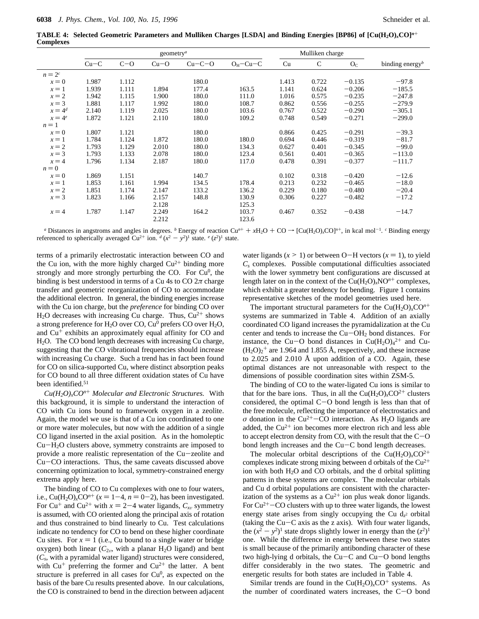**TABLE 4: Selected Geometric Parameters and Mulliken Charges [LSDA] and Binding Energies [BP86] of [Cu(H2O)***x***CO]***<sup>n</sup>*+ **Complexes**

|           | geometry <sup><i>a</i></sup> |       |        |          |            |       | Mulliken charge |                |                             |
|-----------|------------------------------|-------|--------|----------|------------|-------|-----------------|----------------|-----------------------------|
|           | $Cu-C$                       | $C-O$ | $Cu-O$ | $Cu-C-O$ | $O_H-Cu-C$ | Cu    | $\mathsf{C}$    | O <sub>C</sub> | binding energy <sup>b</sup> |
| $n=2^c$   |                              |       |        |          |            |       |                 |                |                             |
| $x=0$     | 1.987                        | 1.112 |        | 180.0    |            | 1.413 | 0.722           | $-0.135$       | $-97.8$                     |
| $x=1$     | 1.939                        | 1.111 | 1.894  | 177.4    | 163.5      | 1.141 | 0.624           | $-0.206$       | $-185.5$                    |
| $x = 2$   | 1.942                        | 1.115 | 1.900  | 180.0    | 111.0      | 1.016 | 0.575           | $-0.235$       | $-247.8$                    |
| $x = 3$   | 1.881                        | 1.117 | 1.992  | 180.0    | 108.7      | 0.862 | 0.556           | $-0.255$       | $-279.9$                    |
| $x = 4^d$ | 2.140                        | 1.119 | 2.025  | 180.0    | 103.6      | 0.767 | 0.522           | $-0.290$       | $-305.1$                    |
| $x=4^e$   | 1.872                        | 1.121 | 2.110  | 180.0    | 109.2      | 0.748 | 0.549           | $-0.271$       | $-299.0$                    |
| $n=1$     |                              |       |        |          |            |       |                 |                |                             |
| $x=0$     | 1.807                        | 1.121 |        | 180.0    |            | 0.866 | 0.425           | $-0.291$       | $-39.3$                     |
| $x=1$     | 1.784                        | 1.124 | 1.872  | 180.0    | 180.0      | 0.694 | 0.446           | $-0.319$       | $-81.7$                     |
| $x = 2$   | 1.793                        | 1.129 | 2.010  | 180.0    | 134.3      | 0.627 | 0.401           | $-0.345$       | $-99.0$                     |
| $x = 3$   | 1.793                        | 1.133 | 2.078  | 180.0    | 123.4      | 0.561 | 0.401           | $-0.365$       | $-113.0$                    |
| $x = 4$   | 1.796                        | 1.134 | 2.187  | 180.0    | 117.0      | 0.478 | 0.391           | $-0.377$       | $-111.7$                    |
| $n = 0$   |                              |       |        |          |            |       |                 |                |                             |
| $x = 0$   | 1.869                        | 1.151 |        | 140.7    |            | 0.102 | 0.318           | $-0.420$       | $-12.6$                     |
| $x=1$     | 1.853                        | 1.161 | 1.994  | 134.5    | 178.4      | 0.213 | 0.232           | $-0.465$       | $-18.0$                     |
| $x = 2$   | 1.851                        | 1.174 | 2.147  | 133.2    | 136.2      | 0.229 | 0.180           | $-0.480$       | $-20.4$                     |
| $x = 3$   | 1.823                        | 1.166 | 2.157  | 148.8    | 130.9      | 0.306 | 0.227           | $-0.482$       | $-17.2$                     |
|           |                              |       | 2.128  |          | 125.3      |       |                 |                |                             |
| $x = 4$   | 1.787                        | 1.147 | 2.249  | 164.2    | 103.7      | 0.467 | 0.352           | $-0.438$       | $-14.7$                     |
|           |                              |       | 2.212  |          | 123.6      |       |                 |                |                             |

*a* Distances in angstroms and angles in degrees. *b* Energy of reaction Cu<sup>n+</sup> +  $xH_2O + CO \rightarrow [Cu(H_2O)_xCO]^{n+}$ , in kcal mol<sup>-1</sup>. *c* Binding energy referenced to spherically averaged  $Cu^{2+}$  ion.  $d (x^2 - y^2)^1$  state.  $e (z^2)^1$  state.

terms of a primarily electrostatic interaction between CO and the Cu ion, with the more highly charged  $Cu^{2+}$  binding more strongly and more strongly perturbing the CO. For  $Cu<sup>0</sup>$ , the binding is best understood in terms of a Cu 4s to CO  $2\pi$  charge transfer and geometric reorganization of CO to accommodate the additional electron. In general, the binding energies increase with the Cu ion charge, but the *preference* for binding CO over  $H<sub>2</sub>O$  decreases with increasing Cu charge. Thus,  $Cu<sup>2+</sup>$  shows a strong preference for  $H_2O$  over CO,  $Cu^0$  prefers CO over  $H_2O$ , and  $Cu<sup>+</sup>$  exhibits an approximately equal affinity for CO and H2O. The CO bond length decreases with increasing Cu charge, suggesting that the CO vibrational frequencies should increase with increasing Cu charge. Such a trend has in fact been found for CO on silica-supported Cu, where distinct absorption peaks for CO bound to all three different oxidation states of Cu have been identified.<sup>51</sup>

*Cu(H2O)xCOn*<sup>+</sup> *Molecular and Electronic Structures.* With this background, it is simple to understand the interaction of CO with Cu ions bound to framework oxygen in a zeolite. Again, the model we use is that of a Cu ion coordinated to one or more water molecules, but now with the addition of a single CO ligand inserted in the axial position. As in the homoleptic  $Cu-H<sub>2</sub>O$  clusters above, symmetry constraints are imposed to provide a more realistic representation of the Cu-zeolite and Cu-CO interactions. Thus, the same caveats discussed above concerning optimization to local, symmetry-constrained energy extrema apply here.

The binding of CO to Cu complexes with one to four waters, i.e.,  $Cu(H_2O)_xCO^{n+}$  ( $x = 1-4$ ,  $n = 0-2$ ), has been investigated. For Cu<sup>+</sup> and Cu<sup>2+</sup> with  $x = 2-4$  water ligands,  $C_{xy}$  symmetry is assumed, with CO oriented along the principal axis of rotation and thus constrained to bind linearly to Cu. Test calculations indicate no tendency for CO to bend on these higher coordinate Cu sites. For  $x = 1$  (i.e., Cu bound to a single water or bridge oxygen) both linear  $(C_{2v}$ , with a planar H<sub>2</sub>O ligand) and bent (*Cs*, with a pyramidal water ligand) structures were considered, with  $Cu^+$  preferring the former and  $Cu^{2+}$  the latter. A bent structure is preferred in all cases for  $Cu<sup>0</sup>$ , as expected on the basis of the bare Cu results presented above. In our calculations, the CO is constrained to bend in the direction between adjacent

water ligands  $(x > 1)$  or between O-H vectors  $(x = 1)$ , to yield *Cs* complexes. Possible computational difficulties associated with the lower symmetry bent configurations are discussed at length later on in the context of the  $Cu(H<sub>2</sub>O)<sub>x</sub>NO<sup>n+</sup>$  complexes, which exhibit a greater tendency for bending. Figure 1 contains representative sketches of the model geometries used here.

The important structural parameters for the  $Cu(H<sub>2</sub>O)<sub>x</sub>CO<sup>n+</sup>$ systems are summarized in Table 4. Addition of an axially coordinated CO ligand increases the pyramidalization at the Cu center and tends to increase the Cu-OH2 bond distances. For instance, the Cu-O bond distances in  $Cu(H_2O)<sup>2+</sup>$  and Cu-<br>(H<sub>2</sub>O)<sub>2</sub><sup>+</sup> are 1.964 and 1.855 Å, respectively and these increase  $(H_2O)_2$ <sup>+</sup> are 1.964 and 1.855 Å, respectively, and these increase to 2.025 and 2.010 Å upon addition of a CO. Again, these optimal distances are not unreasonable with respect to the dimensions of possible coordination sites within ZSM-5.

The binding of CO to the water-ligated Cu ions is similar to that for the bare ions. Thus, in all the  $Cu(H<sub>2</sub>O)<sub>x</sub>CO<sup>2+</sup>$  clusters considered, the optimal  $C-O$  bond length is less than that of the free molecule, reflecting the importance of electrostatics and  $\sigma$  donation in the Cu<sup>2+</sup>-CO interaction. As H<sub>2</sub>O ligands are added, the  $Cu^{2+}$  ion becomes more electron rich and less able to accept electron density from CO, with the result that the  $C-O$ bond length increases and the Cu–C bond length decreases.

The molecular orbital descriptions of the  $Cu(H<sub>2</sub>O)<sub>x</sub>CO<sup>2+</sup>$ complexes indicate strong mixing between d orbitals of the  $Cu^{2+}$ ion with both H2O and CO orbitals, and the d orbital splitting patterns in these systems are complex. The molecular orbitals and Cu d orbital populations are consistent with the characterization of the systems as a  $Cu^{2+}$  ion plus weak donor ligands. For  $Cu^{2+}-CO$  clusters with up to three water ligands, the lowest energy state arises from singly occupying the Cu d*z*<sup>2</sup> orbital  $(taking the Cu-C axis as the z axis)$ . With four water ligands, the  $(x^2 - y^2)^1$  state drops slightly lower in energy than the  $(z^2)^1$ one. While the difference in energy between these two states is small because of the primarily antibonding character of these two high-lying d orbitals, the Cu-C and Cu-O bond lengths differ considerably in the two states. The geometric and energetic results for both states are included in Table 4.

Similar trends are found in the  $Cu(H<sub>2</sub>O)<sub>x</sub>CO<sup>+</sup>$  systems. As the number of coordinated waters increases, the C-O bond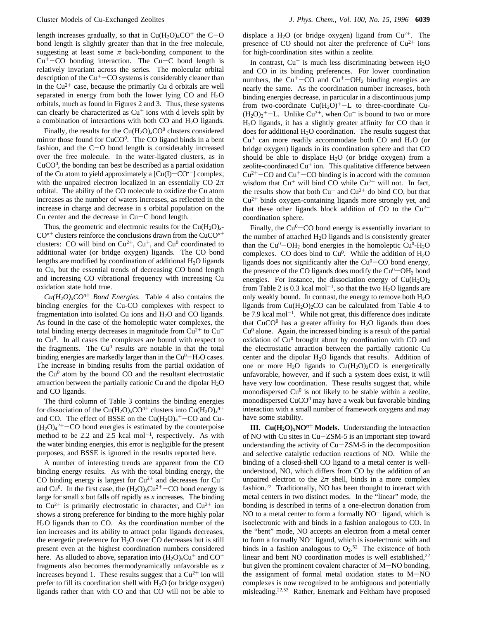Finally, the results for the  $Cu(H<sub>2</sub>O)<sub>x</sub>CO<sup>0</sup>$  clusters considered mirror those found for  $CuCO<sup>0</sup>$ . The CO ligand binds in a bent fashion, and the  $C-O$  bond length is considerably increased over the free molecule. In the water-ligated clusters, as in  $CuCO<sup>0</sup>$ , the bonding can best be described as a partial oxidation of the Cu atom to yield approximately a  $[Cu(I)-CO^{\bullet-}]$  complex, with the unpaired electron localized in an essentially CO 2*π* orbital. The ability of the CO molecule to oxidize the Cu atom increases as the number of waters increases, as reflected in the increase in charge and decrease in s orbital population on the Cu center and the decrease in Cu-C bond length.

Thus, the geometric and electronic results for the  $Cu(H<sub>2</sub>O)<sub>x</sub>$ - $CO<sup>n+</sup>$  clusters reinforce the conclusions drawn from the  $CuCO<sup>n+</sup>$ clusters: CO will bind on  $Cu^{2+}$ ,  $Cu^{+}$ , and  $Cu^{0}$  coordinated to additional water (or bridge oxygen) ligands. The CO bond lengths are modified by coordination of additional  $H_2O$  ligands to Cu, but the essential trends of decreasing CO bond length and increasing CO vibrational frequency with increasing Cu oxidation state hold true.

 $Cu(H<sub>2</sub>O)<sub>x</sub>CO<sup>n+</sup>$  *Bond Energies*. Table 4 also contains the binding energies for the Cu-CO complexes with respect to fragmentation into isolated Cu ions and H2O and CO ligands. As found in the case of the homoleptic water complexes, the total binding energy decreases in magnitude from  $Cu^{2+}$  to  $Cu^{+}$ to  $Cu<sup>0</sup>$ . In all cases the complexes are bound with respect to the fragments. The  $Cu<sup>0</sup>$  results are notable in that the total binding energies are markedly larger than in the  $Cu^{0}-H_{2}O$  cases. The increase in binding results from the partial oxidation of the  $Cu<sup>0</sup>$  atom by the bound CO and the resultant electrostatic attraction between the partially cationic Cu and the dipolar  $H_2O$ and CO ligands.

The third column of Table 3 contains the binding energies for dissociation of the Cu(H<sub>2</sub>O)<sub>*x*</sub>CO<sup>*n*+</sup> clusters into Cu(H<sub>2</sub>O)<sub>*x*</sub><sup>*n*+</sup> and CO. The effect of BSSE on the  $Cu(H_2O)_4^+$  – CO and Cu-<br>(H<sub>2</sub>O)<sup>2+</sup> – CO bond energies is estimated by the counterpoise  $(H_2O)_4^{2+}$  – CO bond energies is estimated by the counterpoise<br>method to be 2.2 and 2.5 kcal mol<sup>-1</sup> respectively. As with method to be 2.2 and 2.5 kcal mol<sup> $-1$ </sup>, respectively. As with the water binding energies, this error is negligible for the present purposes, and BSSE is ignored in the results reported here.

A number of interesting trends are apparent from the CO binding energy results. As with the total binding energy, the CO binding energy is largest for  $Cu^{2+}$  and decreases for  $Cu^{+}$ and  $Cu^0$ . In the first case, the  $(H_2O)_xCu^{2+}-CO$  bond energy is large for small x but falls off rapidly as *x* increases. The binding to  $Cu^{2+}$  is primarily electrostatic in character, and  $Cu^{2+}$  ion shows a strong preference for binding to the more highly polar H2O ligands than to CO. As the coordination number of the ion increases and its ability to attract polar ligands decreases, the energetic preference for  $H_2O$  over CO decreases but is still present even at the highest coordination numbers considered here. As alluded to above, separation into  $(H_2O)_xCu^+$  and  $CO^+$ fragments also becomes thermodynamically unfavorable as *x* increases beyond 1. These results suggest that a  $Cu^{2+}$  ion will prefer to fill its coordination shell with  $H_2O$  (or bridge oxygen) ligands rather than with CO and that CO will not be able to

displace a H<sub>2</sub>O (or bridge oxygen) ligand from  $Cu^{2+}$ . The presence of CO should not alter the preference of  $Cu^{2+}$  ions for high-coordination sites within a zeolite.

In contrast,  $Cu^+$  is much less discriminating between  $H_2O$ and CO in its binding preferences. For lower coordination numbers, the  $Cu<sup>+</sup>-CO$  and  $Cu<sup>+</sup>-OH<sub>2</sub>$  binding energies are nearly the same. As the coordination number increases, both binding energies decrease, in particular in a discontinuous jump from two-coordinate  $Cu(H<sub>2</sub>O)<sup>+</sup>-L$  to three-coordinate Cu- $(H_2O)_2^+$  – L. Unlike Cu<sup>2+</sup>, when Cu<sup>+</sup> is bound to two or more<br>H<sub>2</sub>O ligands it has a slightly greater affinity for CO than it H2O ligands, it has a slightly greater affinity for CO than it does for additional  $H_2O$  coordination. The results suggest that  $Cu<sup>+</sup>$  can more readily accommodate both CO and H<sub>2</sub>O (or bridge oxygen) ligands in its coordination sphere and that CO should be able to displace  $H_2O$  (or bridge oxygen) from a zeolite-coordinated Cu<sup>+</sup> ion. This qualitative difference between  $Cu^{2+}-CO$  and  $Cu^{+}-CO$  binding is in accord with the common wisdom that  $Cu^+$  will bind CO while  $Cu^{2+}$  will not. In fact, the results show that both  $Cu<sup>+</sup>$  and  $Cu<sup>2+</sup>$  do bind CO, but that  $Cu<sup>2+</sup>$  binds oxygen-containing ligands more strongly yet, and that these other ligands block addition of CO to the  $Cu^{2+}$ coordination sphere.

Finally, the  $Cu^{0}-CO$  bond energy is essentially invariant to the number of attached  $H_2O$  ligands and is consistently greater than the  $Cu^{0}-OH_{2}$  bond energies in the homoleptic  $Cu^{0}-H_{2}O$ complexes. CO does bind to  $Cu<sup>0</sup>$ . While the addition of  $H<sub>2</sub>O$ ligands does not significantly alter the  $Cu<sup>0</sup>-CO$  bond energy, the presence of the CO ligands does modify the  $Cu^{0}-OH_{2}$  bond energies. For instance, the dissociation energy of  $Cu(H<sub>2</sub>O)<sub>2</sub>$ from Table 2 is 0.3 kcal mol<sup>-1</sup>, so that the two  $H_2O$  ligands are only weakly bound. In contrast, the energy to remove both  $H_2O$ ligands from  $Cu(H<sub>2</sub>O)<sub>2</sub>CO$  can be calculated from Table 4 to be 7.9 kcal mol<sup> $-1$ </sup>. While not great, this difference does indicate that  $CuCO<sup>0</sup>$  has a greater affinity for  $H<sub>2</sub>O$  ligands than does  $Cu<sup>0</sup>$  alone. Again, the increased binding is a result of the partial oxidation of  $Cu<sup>0</sup>$  brought about by coordination with CO and the electrostatic attraction between the partially cationic Cu center and the dipolar H2O ligands that results. Addition of one or more  $H_2O$  ligands to  $Cu(H_2O)_2CO$  is energetically unfavorable, however, and if such a system does exist, it will have very low coordination. These results suggest that, while monodispersed  $Cu^0$  is not likely to be stable within a zeolite, monodispersed CuCO<sup>0</sup> may have a weak but favorable binding interaction with a small number of framework oxygens and may have some stability.

**III.**  $Cu(H_2O)_xNO^{n+}$  **Models.** Understanding the interaction of NO with Cu sites in Cu-ZSM-5 is an important step toward understanding the activity of Cu-ZSM-5 in the decomposition and selective catalytic reduction reactions of NO. While the binding of a closed-shell CO ligand to a metal center is wellunderstood, NO, which differs from CO by the addition of an unpaired electron to the  $2\pi$  shell, binds in a more complex fashion.22 Traditionally, NO has been thought to interact with metal centers in two distinct modes. In the "linear" mode, the bonding is described in terms of a one-electron donation from NO to a metal center to form a formally  $NO<sup>+</sup>$  ligand, which is isoelectronic with and binds in a fashion analogous to CO. In the "bent" mode, NO accepts an electron from a metal center to form a formally NO- ligand, which is isoelectronic with and binds in a fashion analogous to  $O<sub>2</sub>$ .<sup>52</sup> The existence of both linear and bent NO coordination modes is well established, $22$ but given the prominent covalent character of M-NO bonding, the assignment of formal metal oxidation states to M-NO complexes is now recognized to be ambiguous and potentially misleading.22,53 Rather, Enemark and Feltham have proposed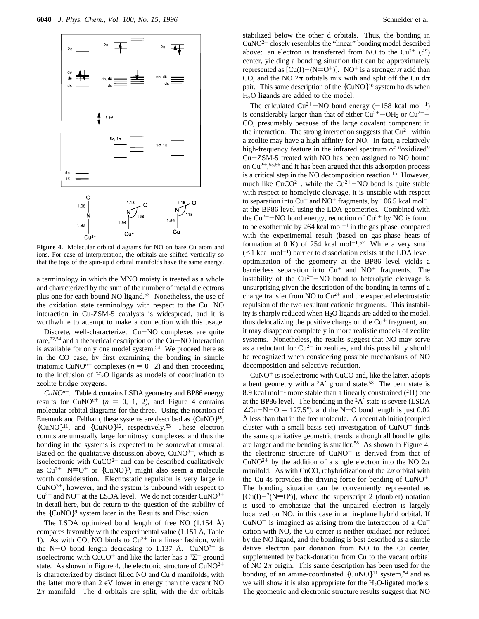

**Figure 4.** Molecular orbital diagrams for NO on bare Cu atom and ions. For ease of interpretation, the orbitals are shifted vertically so that the tops of the spin-up d orbital manifolds have the same energy.

a terminology in which the MNO moiety is treated as a whole and characterized by the sum of the number of metal d electrons plus one for each bound NO ligand.<sup>53</sup> Nonetheless, the use of the oxidation state terminology with respect to the Cu-NO interaction in Cu-ZSM-5 catalysts is widespread, and it is worthwhile to attempt to make a connection with this usage.

Discrete, well-characterized Cu-NO complexes are quite rare,  $22,54$  and a theoretical description of the Cu-NO interaction is available for only one model system.<sup>54</sup> We proceed here as in the CO case, by first examining the bonding in simple triatomic CuNO<sup>n+</sup> complexes ( $n = 0-2$ ) and then proceeding to the inclusion of  $H_2O$  ligands as models of coordination to zeolite bridge oxygens.

 $CuNO<sup>n+</sup>$ . Table 4 contains LSDA geometry and BP86 energy results for CuNO<sup>n+</sup> ( $n = 0, 1, 2$ ), and Figure 4 contains molecular orbital diagrams for the three. Using the notation of Enemark and Feltham, these systems are described as  ${C<sub>u</sub>NO<sub>1</sub><sup>10</sup>}$ ,  ${CuNO}<sup>11</sup>$ , and  ${CuNO}<sup>12</sup>$ , respectively.<sup>53</sup> These electron counts are unusually large for nitrosyl complexes, and thus the bonding in the systems is expected to be somewhat unusual. Based on the qualitative discussion above,  $CuNO<sup>3+</sup>$ , which is isoelectronic with  $CuCO<sup>2+</sup>$  and can be described qualitatively as  $Cu^{2+}-N\equiv O^+$  or  ${CuNO}^9$ , might also seem a molecule worth consideration. Electrostatic repulsion is very large in  $CuNO<sup>3+</sup>$ , however, and the system is unbound with respect to  $Cu^{2+}$  and NO<sup>+</sup> at the LSDA level. We do not consider CuNO<sup>3+</sup> in detail here, but do return to the question of the stability of the  ${CuNO}^9$  system later in the Results and Discussion.

The LSDA optimized bond length of free NO  $(1.154 \text{ Å})$ compares favorably with the experimental value (1.151 Å, Table 1). As with CO, NO binds to  $Cu^{2+}$  in a linear fashion, with the N-O bond length decreasing to 1.137 Å. CuNO<sup>2+</sup> is isoelectronic with CuCO<sup>+</sup> and like the latter has a  ${}^{1}\Sigma^{+}$  ground state. As shown in Figure 4, the electronic structure of  $CuNO<sup>2+</sup>$ is characterized by distinct filled NO and Cu d manifolds, with the latter more than 2 eV lower in energy than the vacant NO  $2\pi$  manifold. The d orbitals are split, with the d $\pi$  orbitals stabilized below the other d orbitals. Thus, the bonding in  $CuNO<sup>2+</sup> closely resembles the "linear" bonding model described$ above: an electron is transferred from NO to the  $Cu^{2+}$  (d<sup>9</sup>) center, yielding a bonding situation that can be approximately represented as  $\text{[Cu(I)–(N\equiv O^+)]}$ . NO<sup>+</sup> is a stronger  $\pi$  acid than CO, and the NO 2*π* orbitals mix with and split off the Cu d*π* pair. This same description of the  ${CuNO}^{10}$  system holds when H2O ligands are added to the model.

The calculated  $Cu^{2+}-NO$  bond energy  $(-158 \text{ kcal mol}^{-1})$ is considerably larger than that of either  $Cu^{2+}-OH_2$  or  $Cu^{2+}-$ CO, presumably because of the large covalent component in the interaction. The strong interaction suggests that  $Cu^{2+}$  within a zeolite may have a high affinity for NO. In fact, a relatively high-frequency feature in the infrared spectrum of "oxidized" Cu-ZSM-5 treated with NO has been assigned to NO bound on  $Cu^{2+},$ <sup>55,56</sup> and it has been argued that this adsorption process is a critical step in the NO decomposition reaction.15 However, much like  $CuCO^{2+}$ , while the  $Cu^{2+}-NO$  bond is quite stable with respect to homolytic cleavage, it is unstable with respect to separation into  $Cu^+$  and  $NO^+$  fragments, by 106.5 kcal mol<sup>-1</sup> at the BP86 level using the LDA geometries. Combined with the  $Cu^{2+}-NO$  bond energy, reduction of  $Cu^{2+}$  by NO is found to be exothermic by 264 kcal mol<sup> $-1$ </sup> in the gas phase, compared with the experimental result (based on gas-phase heats of formation at 0 K) of 254 kcal mol<sup>-1.57</sup> While a very small  $($  < 1 kcal mol<sup>-1</sup>) barrier to dissociation exists at the LDA level, optimization of the geometry at the BP86 level yields a barrierless separation into  $Cu<sup>+</sup>$  and  $NO<sup>+</sup>$  fragments. The instability of the  $Cu^{2+}-NO$  bond to heterolytic cleavage is unsurprising given the description of the bonding in terms of a charge transfer from NO to  $Cu^{2+}$  and the expected electrostatic repulsion of the two resultant cationic fragments. This instability is sharply reduced when H2O ligands are added to the model, thus delocalizing the positive charge on the  $Cu<sup>+</sup>$  fragment, and it may disappear completely in more realistic models of zeolite systems. Nonetheless, the results suggest that NO may serve as a reductant for  $Cu^{2+}$  in zeolites, and this possibility should be recognized when considering possible mechanisms of NO decomposition and selective reduction.

 $CuNO<sup>+</sup>$  is isoelectronic with CuCO and, like the latter, adopts a bent geometry with a  ${}^{2}A'$  ground state.<sup>58</sup> The bent state is 8.9 kcal mol<sup>-1</sup> more stable than a linearly constrained  $(^{2} \Pi)$  one at the BP86 level. The bending in the 2A′ state is severe (LSDA  $\angle$ Cu-N-O = 127.5°), and the N-O bond length is just 0.02 Å less than that in the free molecule. A recent ab initio (coupled cluster with a small basis set) investigation of  $CuNO<sup>+</sup>$  finds the same qualitative geometric trends, although all bond lengths are larger and the bending is smaller.<sup>58</sup> As shown in Figure 4, the electronic structure of  $CuNO<sup>+</sup>$  is derived from that of CuNO<sup>2+</sup> by the addition of a single electron into the NO  $2\pi$ manifold. As with CuCO, rehybridization of the 2*π* orbital with the Cu 4s provides the driving force for bending of  $CuNO^{+}$ . The bonding situation can be conveniently represented as  $[Cu(1)-2(N=0^{\circ})]$ , where the superscript 2 (doublet) notation<br>is used to emphasize that the unpaired electron is largely is used to emphasize that the unpaired electron is largely localized on NO, in this case in an in-plane hybrid orbital. If  $CuNO<sup>+</sup>$  is imagined as arising from the interaction of a  $Cu<sup>+</sup>$ cation with NO, the Cu center is neither oxidized nor reduced by the NO ligand, and the bonding is best described as a simple dative electron pair donation from NO to the Cu center, supplemented by back-donation from Cu to the vacant orbital of NO 2*π* origin. This same description has been used for the bonding of an amine-coordinated  ${CuNO}^{11}$  system,<sup>54</sup> and as we will show it is also appropriate for the  $H<sub>2</sub>O$ -ligated models. The geometric and electronic structure results suggest that NO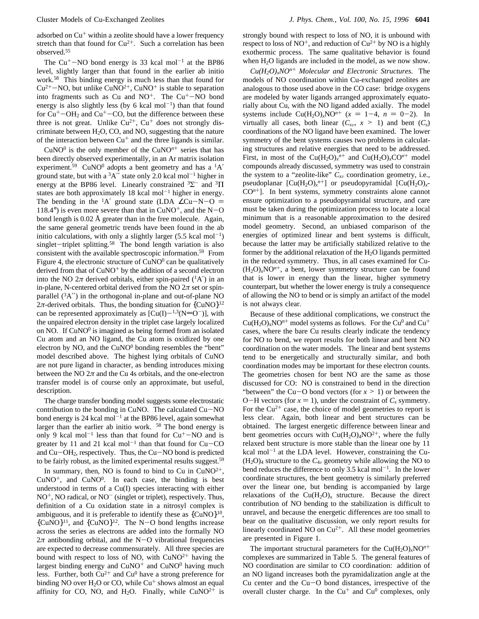adsorbed on  $Cu<sup>+</sup>$  within a zeolite should have a lower frequency stretch than that found for  $Cu^{2+}$ . Such a correlation has been observed.55

The  $Cu<sup>+</sup>-NO$  bond energy is 33 kcal mol<sup>-1</sup> at the BP86 level, slightly larger than that found in the earlier ab initio work.58 This binding energy is much less than that found for  $Cu^{2+}-NO$ , but unlike CuNO<sup>2+</sup>, CuNO<sup>+</sup> is stable to separation into fragments such as Cu and  $NO^+$ . The  $Cu^+$ -NO bond energy is also slightly less (by 6 kcal mol<sup>-1</sup>) than that found for  $Cu<sup>+</sup>-OH<sub>2</sub>$  and  $Cu<sup>+</sup>-CO$ , but the difference between these three is not great. Unlike  $Cu^{2+}$ ,  $Cu^{+}$  does not strongly discriminate between  $H_2O$ , CO, and NO, suggesting that the nature of the interaction between  $Cu<sup>+</sup>$  and the three ligands is similar.

 $CuNO<sup>0</sup>$  is the only member of the  $CuNO<sup>n+</sup>$  series that has been directly observed experimentally, in an Ar matrix isolation experiment.<sup>59</sup> CuNO<sup>0</sup> adopts a bent geometry and has a  ${}^{1}A'$ ground state, but with a  ${}^{3}A''$  state only 2.0 kcal mol<sup>-1</sup> higher in energy at the BP86 level. Linearly constrained  ${}^{3}\Sigma^{-}$  and  ${}^{3}\Pi$ states are both approximately 18 kcal mol<sup> $-1$ </sup> higher in energy. The bending in the <sup>1</sup>A' ground state (LDA  $\angle$ Cu-N-O = 118.4°) is even more severe than that in CuNO<sup>+</sup>, and the N-O bond length is 0.02 Å greater than in the free molecule. Again, the same general geometric trends have been found in the ab initio calculations, with only a slightly larger  $(5.5 \text{ kcal mol}^{-1})$ singlet-triplet splitting.<sup>58</sup> The bond length variation is also consistent with the available spectroscopic information.59 From Figure 4, the electronic structure of  $CuNO<sup>0</sup>$  can be qualitatively derived from that of  $CuNO<sup>+</sup>$  by the addition of a second electron into the NO  $2\pi$  derived orbitals, either spin-paired (<sup>1</sup>A') in an in-plane, N-centered orbital derived from the NO  $2\pi$  set or spinparallel  $({}^3$ A") in the orthogonal in-plane and out-of-plane NO 2 $\pi$ -derived orbitals. Thus, the bonding situation for  $\{CuNO\}^{12}$ can be represented approximately as  $\text{[Cu(I)-}^{1,3}(N=O^-)]$ , with the unpaired electron density in the triplet case largely localized on NO. If CuNO<sup>0</sup> is imagined as being formed from an isolated Cu atom and an NO ligand, the Cu atom is oxidized by one electron by NO, and the  $CuNO<sup>0</sup>$  bonding resembles the "bent" model described above. The highest lying orbitals of CuNO are not pure ligand in character, as bending introduces mixing between the NO  $2\pi$  and the Cu 4s orbitals, and the one-electron transfer model is of course only an approximate, but useful, description.

The charge transfer bonding model suggests some electrostatic contribution to the bonding in CuNO. The calculated Cu-NO bond energy is 24 kcal mol<sup>-1</sup> at the BP86 level, again somewhat larger than the earlier ab initio work. <sup>58</sup> The bond energy is only 9 kcal mol<sup>-1</sup> less than that found for  $Cu^+$ -NO and is greater by 11 and 21 kcal mol<sup>-1</sup> than that found for  $Cu-CO$ and  $Cu$ -OH<sub>2</sub>, respectively. Thus, the Cu-NO bond is predicted to be fairly robust, as the limited experimental results suggest.59

In summary, then, NO is found to bind to Cu in  $CuNO^{2+}$ ,  $CuNO<sup>+</sup>$ , and  $CuNO<sup>0</sup>$ . In each case, the binding is best understood in terms of a Cu(I) species interacting with either  $NO^+$ , NO radical, or  $NO^-$  (singlet or triplet), respectively. Thus, definition of a Cu oxidation state in a nitrosyl complex is ambiguous, and it is preferable to identify these as  ${CuNO}^{10}$ ,  ${CuNO}^{11}$ , and  ${CuNO}^{12}$ . The N-O bond lengths increase across the series as electrons are added into the formally NO  $2\pi$  antibonding orbital, and the N-O vibrational frequencies are expected to decrease commensurately. All three species are bound with respect to loss of NO, with  $CuNO^{2+}$  having the largest binding energy and  $CuNO<sup>+</sup>$  and  $CuNO<sup>0</sup>$  having much less. Further, both  $Cu^{2+}$  and  $Cu^{0}$  have a strong preference for binding NO over  $H_2O$  or CO, while  $Cu^+$  shows almost an equal affinity for CO, NO, and H<sub>2</sub>O. Finally, while  $CuNO^{2+}$  is

strongly bound with respect to loss of NO, it is unbound with respect to loss of NO<sup>+</sup>, and reduction of  $Cu^{2+}$  by NO is a highly exothermic process. The same qualitative behavior is found when H<sub>2</sub>O ligands are included in the model, as we now show.

 $Cu(H<sub>2</sub>O)<sub>x</sub>NO<sup>n+</sup> Molecular and Electronic Structures.$  The models of NO coordination within Cu-exchanged zeolites are analogous to those used above in the CO case: bridge oxygens are modeled by water ligands arranged approximately equatorially about Cu, with the NO ligand added axially. The model systems include  $Cu(H_2O)_xNO^{n+}$  ( $x = 1-4$ ,  $n = 0-2$ ). In virtually all cases, both linear  $(C_{xv}, x > 1)$  and bent  $(C_s)$ coordinations of the NO ligand have been examined. The lower symmetry of the bent systems causes two problems in calculating structures and relative energies that need to be addressed. First, in most of the  $Cu(H_2O)<sub>x</sub><sup>n+</sup>$  and  $Cu(H_2O)<sub>x</sub>CO<sup>n+</sup>$  model compounds already discussed, symmetry was used to constrain the system to a "zeolite-like"  $C_{xy}$  coordination geometry, i.e., pseudoplanar  $[Cu(H<sub>2</sub>O)<sub>x</sub><sup>n+</sup>]$  or pseudopyramidal  $[Cu(H<sub>2</sub>O)<sub>x</sub>$ - $CO<sup>n+</sup>$ ]. In bent systems, symmetry constraints alone cannot ensure optimization to a pseudopyramidal structure, and care must be taken during the optimization process to locate a local minimum that is a reasonable approximation to the desired model geometry. Second, an unbiased comparison of the energies of optimized linear and bent systems is difficult, because the latter may be artificially stabilized relative to the former by the additional relaxation of the  $H_2O$  ligands permitted in the reduced symmetry. Thus, in all cases examined for Cu-  $(H_2O)_xNO^{n+}$ , a bent, lower symmetry structure can be found that is lower in energy than the linear, higher symmetry counterpart, but whether the lower energy is truly a consequence of allowing the NO to bend or is simply an artifact of the model is not always clear.

Because of these additional complications, we construct the  $Cu(H<sub>2</sub>O)<sub>x</sub>NO<sup>n+</sup>$  model systems as follows. For the Cu<sup>0</sup> and Cu<sup>+</sup> cases, where the bare Cu results clearly indicate the tendency for NO to bend, we report results for both linear and bent NO coordination on the water models. The linear and bent systems tend to be energetically and structurally similar, and both coordination modes may be important for these electron counts. The geometries chosen for bent NO are the same as those discussed for CO: NO is constrained to bend in the direction "between" the Cu-O bond vectors (for  $x \ge 1$ ) or between the O-H vectors (for  $x = 1$ ), under the constraint of  $C_s$  symmetry. For the  $Cu^{2+}$  case, the choice of model geometries to report is less clear. Again, both linear and bent structures can be obtained. The largest energetic difference between linear and bent geometries occurs with  $Cu(H<sub>2</sub>O)<sub>4</sub>NO<sup>2+</sup>$ , where the fully relaxed bent structure is more stable than the linear one by 11 kcal mol<sup>-1</sup> at the LDA level. However, constraining the Cu- $(H<sub>2</sub>O)<sub>4</sub>$  structure to the  $C<sub>4v</sub>$  geometry while allowing the NO to bend reduces the difference to only 3.5 kcal mol<sup>-1</sup>. In the lower coordinate structures, the bent geometry is similarly preferred over the linear one, but bending is accompanied by large relaxations of the  $Cu(H<sub>2</sub>O)<sub>x</sub>$  structure. Because the direct contribution of NO bending to the stabilization is difficult to unravel, and because the energetic differences are too small to bear on the qualitative discussion, we only report results for linearly coordinated NO on  $Cu^{2+}$ . All these model geometries are presented in Figure 1.

The important structural parameters for the  $Cu(H<sub>2</sub>O)<sub>x</sub>NO<sup>n+</sup>$ complexes are summarized in Table 5. The general features of NO coordination are similar to CO coordination: addition of an NO ligand increases both the pyramidalization angle at the Cu center and the Cu-O bond distances, irrespective of the overall cluster charge. In the  $Cu<sup>+</sup>$  and  $Cu<sup>0</sup>$  complexes, only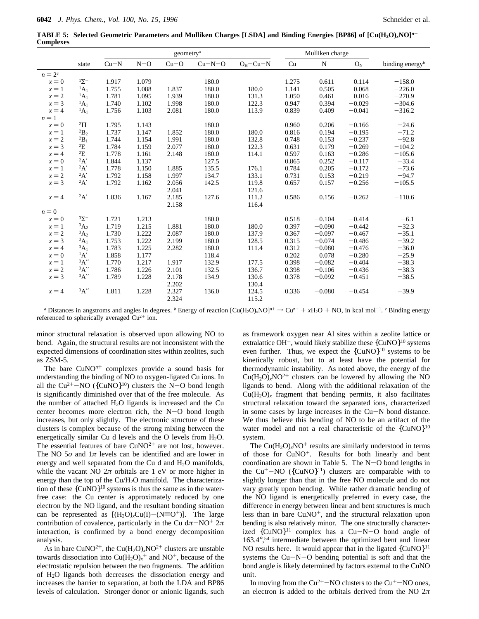**TABLE 5: Selected Geometric Parameters and Mulliken Charges [LSDA] and Binding Energies [BP86] of [Cu(H2O)***x***NO]***<sup>n</sup>*+ **Complexes**

|           |                      | geometry <sup><i>a</i></sup> |       |        |          |           | Mulliken charge |          |          |                                          |
|-----------|----------------------|------------------------------|-------|--------|----------|-----------|-----------------|----------|----------|------------------------------------------|
|           | state                | $Cu-N$                       | $N-O$ | $Cu-O$ | $Cu-N-O$ | $OH-Cu-N$ | Cu              | N        | $O_N$    | binding energy <sup><math>b</math></sup> |
| $n = 2^c$ |                      |                              |       |        |          |           |                 |          |          |                                          |
| $x = 0$   | $1\Sigma^+$          | 1.917                        | 1.079 |        | 180.0    |           | 1.275           | 0.611    | 0.114    | $-158.0$                                 |
| $x=1$     | $^1A_1$              | 1.755                        | 1.088 | 1.837  | 180.0    | 180.0     | 1.141           | 0.505    | 0.068    | $-226.0$                                 |
| $x = 2$   | $^1A_1$              | 1.781                        | 1.095 | 1.939  | 180.0    | 131.3     | 1.050           | 0.461    | 0.016    | $-270.9$                                 |
| $x = 3$   | $\mathrm{^{1}A}_{1}$ | 1.740                        | 1.102 | 1.998  | 180.0    | 122.3     | 0.947           | 0.394    | $-0.029$ | $-304.6$                                 |
| $x = 4$   | $\mathrm{^{1}A_{1}}$ | 1.756                        | 1.103 | 2.081  | 180.0    | 113.9     | 0.839           | 0.409    | $-0.041$ | $-316.2$                                 |
| $n=1$     |                      |                              |       |        |          |           |                 |          |          |                                          |
| $x = 0$   | $^{2}\Pi$            | 1.795                        | 1.143 |        | 180.0    |           | 0.960           | 0.206    | $-0.166$ | $-24.6$                                  |
| $x=1$     | ${}^2B_2$            | 1.737                        | 1.147 | 1.852  | 180.0    | 180.0     | 0.816           | 0.194    | $-0.195$ | $-71.2$                                  |
| $x = 2$   | ${}^2B_1$            | 1.744                        | 1.154 | 1.991  | 180.0    | 132.8     | 0.748           | 0.153    | $-0.237$ | $-92.8$                                  |
| $x = 3$   | $E^2$                | 1.784                        | 1.159 | 2.077  | 180.0    | 122.3     | 0.631           | 0.179    | $-0.269$ | $-104.2$                                 |
| $x = 4$   | $E^2$                | 1.778                        | 1.161 | 2.148  | 180.0    | 114.1     | 0.597           | 0.163    | $-0.286$ | $-105.6$                                 |
| $x = 0$   | 2A'                  | 1.844                        | 1.137 |        | 127.5    |           | 0.865           | 0.252    | $-0.117$ | $-33.4$                                  |
| $x=1$     | 2A'                  | 1.778                        | 1.150 | 1.885  | 135.5    | 176.1     | 0.784           | 0.205    | $-0.172$ | $-73.6$                                  |
| $x = 2$   | 2A'                  | 1.792                        | 1.158 | 1.997  | 134.7    | 133.1     | 0.731           | 0.153    | $-0.219$ | $-94.7$                                  |
| $x = 3$   | 2A'                  | 1.792                        | 1.162 | 2.056  | 142.5    | 119.8     | 0.657           | 0.157    | $-0.256$ | $-105.5$                                 |
|           |                      |                              |       | 2.041  |          | 121.6     |                 |          |          |                                          |
| $x = 4$   | 2A'                  | 1.836                        | 1.167 | 2.185  | 127.6    | 111.2     | 0.586           | 0.156    | $-0.262$ | $-110.6$                                 |
|           |                      |                              |       | 2.158  |          | 116.4     |                 |          |          |                                          |
| $n = 0$   |                      |                              |       |        |          |           |                 |          |          |                                          |
| $x = 0$   | $3\Sigma^-$          | 1.721                        | 1.213 |        | 180.0    |           | 0.518           | $-0.104$ | $-0.414$ | $-6.1$                                   |
| $x=1$     | ${}^3A_2$            | 1.719                        | 1.215 | 1.881  | 180.0    | 180.0     | 0.397           | $-0.090$ | $-0.442$ | $-32.3$                                  |
| $x = 2$   | ${}^3A_2$            | 1.730                        | 1.222 | 2.087  | 180.0    | 137.9     | 0.367           | $-0.097$ | $-0.467$ | $-35.1$                                  |
| $x = 3$   | ${}^3A_1$            | 1.753                        | 1.222 | 2.199  | 180.0    | 128.5     | 0.315           | $-0.074$ | $-0.486$ | $-39.2$                                  |
| $x = 4$   | ${}^3A_1$            | 1.783                        | 1.225 | 2.282  | 180.0    | 111.4     | 0.312           | $-0.080$ | $-0.476$ | $-36.0$                                  |
| $x = 0$   | $\mathrm{^1A'}$      | 1.858                        | 1.177 |        | 118.4    |           | 0.202           | 0.078    | $-0.280$ | $-25.9$                                  |
| $x=1$     | 3A''                 | 1.770                        | 1.217 | 1.917  | 132.9    | 177.5     | 0.398           | $-0.082$ | $-0.404$ | $-38.3$                                  |
| $x = 2$   | $^3A^{\prime\prime}$ | 1.786                        | 1.226 | 2.101  | 132.5    | 136.7     | 0.398           | $-0.106$ | $-0.436$ | $-38.3$                                  |
| $x = 3$   | $\mathrm{^3A}''$     | 1.789                        | 1.228 | 2.178  | 134.9    | 130.6     | 0.378           | $-0.092$ | $-0.451$ | $-38.5$                                  |
|           |                      |                              |       | 2.202  |          | 130.4     |                 |          |          |                                          |
| $x=4$     | 3A''                 | 1.811                        | 1.228 | 2.327  | 136.0    | 124.5     | 0.336           | $-0.080$ | $-0.454$ | $-39.9$                                  |
|           |                      |                              |       | 2.324  |          | 115.2     |                 |          |          |                                          |

*a* Distances in angstroms and angles in degrees. *b* Energy of reaction  $[Cu(H_2O)_xNO]^{n+} \rightarrow Cu^{n+} + xH_2O + NO$ , in kcal mol<sup>-1</sup>. *c* Binding energy referenced to spherically averaged  $Cu^{2+}$  ion.

minor structural relaxation is observed upon allowing NO to bend. Again, the structural results are not inconsistent with the expected dimensions of coordination sites within zeolites, such as ZSM-5.

The bare  $CuNO<sup>n+</sup>$  complexes provide a sound basis for understanding the binding of NO to oxygen-ligated Cu ions. In all the  $Cu^{2+}-NO$  ({CuNO}<sup>10</sup>) clusters the N-O bond length is significantly diminished over that of the free molecule. As the number of attached  $H_2O$  ligands is increased and the Cu center becomes more electron rich, the N-O bond length increases, but only slightly. The electronic structure of these clusters is complex because of the strong mixing between the energetically similar Cu d levels and the O levels from  $H_2O$ . The essential features of bare  $CuNO^{2+}$  are not lost, however. The NO  $5\sigma$  and  $1\pi$  levels can be identified and are lower in energy and well separated from the Cu d and H<sub>2</sub>O manifolds, while the vacant NO  $2\pi$  orbitals are 1 eV or more higher in energy than the top of the Cu/H<sub>2</sub>O manifold. The characterization of these  ${CuNO}^{10}$  systems is thus the same as in the waterfree case: the Cu center is approximately reduced by one electron by the NO ligand, and the resultant bonding situation can be represented as  $[(H_2O)_xCu(I)-(N\equiv O^+)]$ . The large contribution of covalence, particularly in the Cu  $d\pi-\text{NO}^+$   $2\pi$ interaction, is confirmed by a bond energy decomposition analysis.

As in bare CuNO<sup>2+</sup>, the Cu(H<sub>2</sub>O)<sub>*x*</sub>NO<sup>2+</sup> clusters are unstable towards dissociation into  $Cu(H<sub>2</sub>O)<sub>x</sub><sup>+</sup>$  and NO<sup>+</sup>, because of the electrostatic repulsion between the two fragments. The addition of H2O ligands both decreases the dissociation energy and increases the barrier to separation, at both the LDA and BP86 levels of calculation. Stronger donor or anionic ligands, such

as framework oxygen near Al sites within a zeolite lattice or extralattice OH<sup>-</sup>, would likely stabilize these  ${CuNO}^{10}$  systems even further. Thus, we expect the  ${CuNO}^{10}$  systems to be kinetically robust, but to at least have the potential for thermodynamic instability. As noted above, the energy of the  $Cu(H<sub>2</sub>O)<sub>x</sub>NO<sup>2+</sup>$  clusters can be lowered by allowing the NO ligands to bend. Along with the additional relaxation of the  $Cu(H<sub>2</sub>O)<sub>x</sub>$  fragment that bending permits, it also facilitates structural relaxation toward the separated ions, characterized in some cases by large increases in the Cu-N bond distance. We thus believe this bending of NO to be an artifact of the water model and not a real characteristic of the {CuNO}<sup>10</sup> system.

The  $Cu(H<sub>2</sub>O)<sub>x</sub>NO<sup>+</sup>$  results are similarly understood in terms of those for CuNO+. Results for both linearly and bent coordination are shown in Table 5. The N-O bond lengths in the  $Cu^+$ -NO ({CuNO}<sup>11</sup>) clusters are comparable with to slightly longer than that in the free NO molecule and do not vary greatly upon bending. While rather dramatic bending of the NO ligand is energetically preferred in every case, the difference in energy between linear and bent structures is much less than in bare CuNO<sup>+</sup>, and the structural relaxation upon bending is also relatively minor. The one structurally characterized  ${CuNO}^{11}$  complex has a  $Cu-N-O$  bond angle of 163.4°, <sup>54</sup> intermediate between the optimized bent and linear NO results here. It would appear that in the ligated  ${CuNO}^{11}$ systems the  $Cu-N-O$  bending potential is soft and that the bond angle is likely determined by factors external to the CuNO unit.

In moving from the  $Cu^{2+}-NO$  clusters to the  $Cu^{+}-NO$  ones, an electron is added to the orbitals derived from the NO 2*π*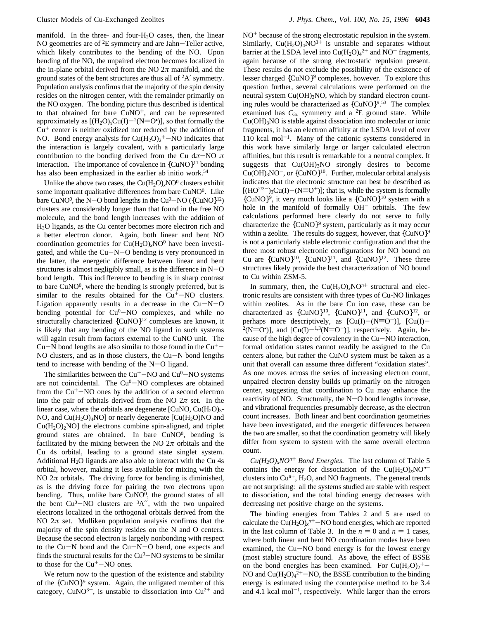manifold. In the three- and four- $H_2O$  cases, then, the linear NO geometries are of <sup>2</sup>E symmetry and are Jahn-Teller active, which likely contributes to the bending of the NO. Upon bending of the NO, the unpaired electron becomes localized in the in-plane orbital derived from the NO  $2\pi$  manifold, and the ground states of the bent structures are thus all of  ${}^{2}A'$  symmetry. Population analysis confirms that the majority of the spin density resides on the nitrogen center, with the remainder primarily on the NO oxygen. The bonding picture thus described is identical to that obtained for bare CuNO+, and can be represented approximately as  $[(H_2O)_xCu(I)-2(N=O^{\bullet})]$ , so that formally the  $Cu^+$  center is neither oxidized nor reduced by the addition of  $Cu<sup>+</sup>$  center is neither oxidized nor reduced by the addition of NO. Bond energy analysis for  $Cu(H<sub>2</sub>O)<sub>2</sub><sup>+</sup> - NO$  indicates that<br>the interaction is largely covalent, with a particularly large the interaction is largely covalent, with a particularly large contribution to the bonding derived from the Cu d $\pi$ -NO  $\pi$ interaction. The importance of covalence in  ${CuNO}^{11}$  bonding has also been emphasized in the earlier ab initio work.<sup>54</sup>

Unlike the above two cases, the  $Cu(H<sub>2</sub>O)<sub>x</sub>NO<sup>0</sup>$  clusters exhibit some important qualitative differences from bare  $CuNO<sup>0</sup>$ . Like bare CuNO<sup>0</sup>, the N-O bond lengths in the Cu<sup>0</sup>-NO ( $\{CuNO\}^{12}$ ) clusters are considerably longer than that found in the free NO molecule, and the bond length increases with the addition of H2O ligands, as the Cu center becomes more electron rich and a better electron donor. Again, both linear and bent NO coordination geometries for  $Cu(H<sub>2</sub>O)<sub>x</sub>NO<sup>0</sup>$  have been investigated, and while the Cu-N-O bending is very pronounced in the latter, the energetic difference between linear and bent structures is almost negligibly small, as is the difference in  $N-O$ bond length. This indifference to bending is in sharp contrast to bare  $CuNO<sup>0</sup>$ , where the bending is strongly preferred, but is similar to the results obtained for the  $Cu<sup>+</sup>-NO$  clusters. Ligation apparently results in a decrease in the  $Cu-N-O$ bending potential for  $Cu^{0}-NO$  complexes, and while no structurally characterized  ${CuNO}^{12}$  complexes are known, it is likely that any bending of the NO ligand in such systems will again result from factors external to the CuNO unit. The Cu-N bond lengths are also similar to those found in the  $Cu<sup>+</sup>$ NO clusters, and as in those clusters, the Cu-N bond lengths tend to increase with bending of the N-O ligand.

The similarities between the  $Cu<sup>+</sup>-NO$  and  $Cu<sup>0</sup>-NO$  systems are not coincidental. The  $Cu<sup>0</sup>-NO$  complexes are obtained from the  $Cu<sup>+</sup>-NO$  ones by the addition of a second electron into the pair of orbitals derived from the NO  $2\pi$  set. In the linear case, where the orbitals are degenerate [CuNO, Cu( $H_2O$ )<sub>3</sub>-NO, and  $Cu(H<sub>2</sub>O)<sub>4</sub>NO$ ] or nearly degenerate  $[Cu(H<sub>2</sub>O)NO$  and  $Cu(H<sub>2</sub>O)<sub>2</sub>NO$ ] the electrons combine spin-aligned, and triplet ground states are obtained. In bare  $CuNO<sup>0</sup>$ , bending is facilitated by the mixing between the NO  $2\pi$  orbitals and the Cu 4s orbital, leading to a ground state singlet system. Additional  $H_2O$  ligands are also able to interact with the Cu 4s orbital, however, making it less available for mixing with the NO  $2\pi$  orbitals. The driving force for bending is diminished, as is the driving force for pairing the two electrons upon bending. Thus, unlike bare  $CuNO<sup>0</sup>$ , the ground states of all the bent  $Cu^{0}-NO$  clusters are  $^{3}A''$ , with the two unpaired electrons localized in the orthogonal orbitals derived from the NO  $2\pi$  set. Mulliken population analysis confirms that the majority of the spin density resides on the N and O centers. Because the second electron is largely nonbonding with respect to the Cu-N bond and the Cu-N-O bend, one expects and finds the structural results for the  $Cu^{0}-NO$  systems to be similar to those for the Cu<sup>+</sup>-NO ones.

We return now to the question of the existence and stability of the  ${CuNO}<sup>9</sup>$  system. Again, the unligated member of this category, CuNO<sup>3+</sup>, is unstable to dissociation into  $Cu^{2+}$  and

NO<sup>+</sup> because of the strong electrostatic repulsion in the system. Similarly,  $Cu(H<sub>2</sub>O)<sub>4</sub>NO<sup>3+</sup>$  is unstable and separates without barrier at the LSDA level into  $Cu(H<sub>2</sub>O)<sub>4</sub><sup>2+</sup>$  and NO<sup>+</sup> fragments, again because of the strong electrostatic repulsion present. These results do not exclude the possibility of the existence of lesser charged  ${CuNO}^9$  complexes, however. To explore this question further, several calculations were performed on the neutral system  $Cu(OH)_{3}NO$ , which by standard electron counting rules would be characterized as {CuNO}9. <sup>53</sup> The complex examined has  $C_{3v}$  symmetry and a <sup>2</sup>E ground state. While  $Cu(OH)<sub>3</sub>NO$  is stable against dissociation into molecular or ionic fragments, it has an electron affinity at the LSDA level of over  $110 \text{ kcal mol}^{-1}$ . Many of the cationic systems considered in this work have similarly large or larger calculated electron affinities, but this result is remarkable for a neutral complex. It suggests that  $Cu(OH)<sub>3</sub>NO$  strongly desires to become  $Cu(OH)<sub>3</sub>NO<sup>-</sup>$ , or  ${CuNO}<sup>10</sup>$ . Further, molecular orbital analysis indicates that the electronic structure can best be described as  $[(HO^{2/3-})_3Cu(I)-(N\equiv O^+)]$ ; that is, while the system is formally  ${CuNO}<sup>9</sup>$ , it very much looks like a  ${CuNO}<sup>10</sup>$  system with a hole in the manifold of formally OH<sup>-</sup> orbitals. The few calculations performed here clearly do not serve to fully characterize the  ${CuNO}<sup>9</sup>$  system, particularly as it may occur within a zeolite. The results do suggest, however, that  ${CuNO}<sup>9</sup>$ is not a particularly stable electronic configuration and that the three most robust electronic configurations for NO bound on Cu are  $\{CuNO\}^{10}$ ,  $\{CuNO\}^{11}$ , and  $\{CuNO\}^{12}$ . These three structures likely provide the best characterization of NO bound to Cu within ZSM-5.

In summary, then, the  $Cu(H<sub>2</sub>O)<sub>x</sub>NO<sup>n+</sup>$  structural and electronic results are consistent with three types of Cu-NO linkages within zeolites. As in the bare Cu ion case, these can be characterized as  ${CuNO}^{10}$ ,  ${CuNO}^{11}$ , and  ${CuNO}^{12}$ , or perhaps more descriptively, as  $[Cu(I) - (N \equiv 0^+)]$ ,  $[Cu(I) ^{2}$ (N=O<sup>•</sup>)], and [Cu(I)-<sup>1,3</sup>(N=O<sup>-</sup>)], respectively. Again, because of the high degree of covalency in the Cu-NO interaction, formal oxidation states cannot readily be assigned to the Cu centers alone, but rather the CuNO system must be taken as a unit that overall can assume three different "oxidation states". As one moves across the series of increasing electron count, unpaired electron density builds up primarily on the nitrogen center, suggesting that coordination to Cu may enhance the reactivity of NO. Structurally, the N-O bond lengths increase, and vibrational frequencies presumably decrease, as the electron count increases. Both linear and bent coordination geometries have been investigated, and the energetic differences between the two are smaller, so that the coordination geometry will likely differ from system to system with the same overall electron count.

 $Cu(H<sub>2</sub>O)<sub>x</sub>NO<sup>n+</sup>$  *Bond Energies*. The last column of Table 5 contains the energy for dissociation of the  $Cu(H<sub>2</sub>O)<sub>x</sub>NO<sup>n+</sup>$ clusters into  $Cu<sup>n+</sup>$ , H<sub>2</sub>O, and NO fragments. The general trends are not surprising: all the systems studied are stable with respect to dissociation, and the total binding energy decreases with decreasing net positive charge on the systems.

The binding energies from Tables 2 and 5 are used to calculate the Cu(H<sub>2</sub>O)<sub>x</sub><sup>n+</sup>–NO bond energies, which are reported<br>in the last column of Table 3. In the  $n = 0$  and  $n = 1$  cases in the last column of Table 3. In the  $n = 0$  and  $n = 1$  cases, where both linear and bent NO coordination modes have been examined, the  $Cu-NO$  bond energy is for the lowest energy (most stable) structure found. As above, the effect of BSSE on the bond energies has been examined. For  $Cu(H<sub>2</sub>O)<sub>2</sub><sup>+</sup>$ on the bond energies has been examined. For  $Cu(H_2O)_2$  –<br>NO and  $Cu(H_2O)_4^{2+}-NO$ , the BSSE contribution to the binding<br>energy is estimated using the counterpoise method to be 3.4 energy is estimated using the counterpoise method to be 3.4 and 4.1 kcal mol<sup> $-1$ </sup>, respectively. While larger than the errors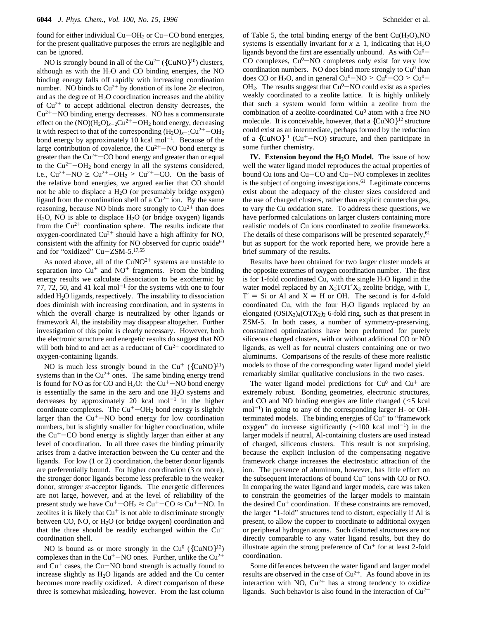found for either individual Cu-OH<sub>2</sub> or Cu-CO bond energies, for the present qualitative purposes the errors are negligible and can be ignored.

NO is strongly bound in all of the  $Cu^{2+}$  ({CuNO}<sup>10</sup>) clusters, although as with the  $H_2O$  and  $CO$  binding energies, the NO binding energy falls off rapidly with increasing coordination number. NO binds to  $Cu^{2+}$  by donation of its lone  $2\pi$  electron, and as the degree of  $H_2O$  coordination increases and the ability of  $Cu^{2+}$  to accept additional electron density decreases, the  $Cu<sup>2+</sup>-NO$  binding energy decreases. NO has a commensurate effect on the  $(NO)(H_2O)_{x-2}Cu^{2+}-OH_2$  bond energy, decreasing it with respect to that of the corresponding  $(H_2O)_{x-1}Cu^{2+}-OH_2$ bond energy by approximately 10 kcal  $mol^{-1}$ . Because of the large contribution of covalence, the  $Cu^{2+}-NO$  bond energy is greater than the  $Cu^{2+}-CO$  bond energy and greater than or equal to the  $Cu^{2+}-OH_2$  bond energy in all the systems considered, i.e.,  $Cu^{2+}-NO \ge Cu^{2+}-OH_2 > Cu^{2+}-CO$ . On the basis of the relative bond energies, we argued earlier that CO should not be able to displace a  $H_2O$  (or presumably bridge oxygen) ligand from the coordination shell of a  $Cu^{2+}$  ion. By the same reasoning, because NO binds more strongly to  $Cu^{2+}$  than does H2O, NO is able to displace H2O (or bridge oxygen) ligands from the  $Cu^{2+}$  coordination sphere. The results indicate that oxygen-coordinated  $Cu^{2+}$  should have a high affinity for NO, consistent with the affinity for NO observed for cupric  $\alpha$  ide<sup>60</sup> and for "oxidized" Cu-ZSM-5.17,55

As noted above, all of the  $CuNO^{2+}$  systems are unstable to separation into  $Cu^+$  and  $NO^+$  fragments. From the binding energy results we calculate dissociation to be exothermic by 77, 72, 50, and 41 kcal mol<sup> $-1$ </sup> for the systems with one to four added H2O ligands, respectively. The instability to dissociation does diminish with increasing coordination, and in systems in which the overall charge is neutralized by other ligands or framework Al, the instability may disappear altogether. Further investigation of this point is clearly necessary. However, both the electronic structure and energetic results do suggest that NO will both bind to and act as a reductant of  $Cu^{2+}$  coordinated to oxygen-containing ligands.

NO is much less strongly bound in the  $Cu^+$  ({CuNO}<sup>11</sup>) systems than in the  $Cu^{2+}$  ones. The same binding energy trend is found for NO as for CO and  $H_2O$ : the Cu<sup>+</sup>-NO bond energy is essentially the same in the zero and one  $H<sub>2</sub>O$  systems and decreases by approximately 20 kcal  $mol^{-1}$  in the higher coordinate complexes. The  $Cu<sup>+</sup>-OH<sub>2</sub>$  bond energy is slightly larger than the  $Cu<sup>+</sup>-NO$  bond energy for low coordination numbers, but is slightly smaller for higher coordination, while the  $Cu<sup>+</sup>-CO$  bond energy is slightly larger than either at any level of coordination. In all three cases the binding primarily arises from a dative interaction between the Cu center and the ligands. For low (1 or 2) coordination, the better donor ligands are preferentially bound. For higher coordination (3 or more), the stronger donor ligands become less preferable to the weaker donor, stronger  $\pi$ -acceptor ligands. The energetic differences are not large, however, and at the level of reliability of the present study we have  $Cu^+$ -OH<sub>2</sub>  $\approx Cu^+$ -CO  $\approx Cu^+$ -NO. In zeolites it is likely that  $Cu<sup>+</sup>$  is not able to discriminate strongly between CO, NO, or  $H<sub>2</sub>O$  (or bridge oxygen) coordination and that the three should be readily exchanged within the  $Cu<sup>+</sup>$ coordination shell.

NO is bound as or more strongly in the  $Cu^{0}$  ({CuNO}<sup>12</sup>) complexes than in the  $Cu^+$ -NO ones. Further, unlike the  $Cu^{2+}$ and  $Cu<sup>+</sup>$  cases, the  $Cu-NO$  bond strength is actually found to increase slightly as  $H_2O$  ligands are added and the Cu center becomes more readily oxidized. A direct comparison of these three is somewhat misleading, however. From the last column

of Table 5, the total binding energy of the bent  $Cu(H<sub>2</sub>O)<sub>x</sub>NO$ systems is essentially invariant for  $x \ge 1$ , indicating that H<sub>2</sub>O ligands beyond the first are essentially unbound. As with  $Cu^{0}$ -CO complexes,  $Cu^{0}-NO$  complexes only exist for very low coordination numbers. NO does bind more strongly to  $Cu<sup>0</sup>$  than does CO or H<sub>2</sub>O, and in general Cu<sup>0</sup>-NO > Cu<sup>0</sup>-CO > Cu<sup>0</sup>- $OH<sub>2</sub>$ . The results suggest that  $Cu<sup>0</sup>-NO$  could exist as a species weakly coordinated to a zeolite lattice. It is highly unlikely that such a system would form within a zeolite from the combination of a zeolite-coordinated  $Cu<sup>0</sup>$  atom with a free NO molecule. It is conceivable, however, that a  ${CuNO}^{12}$  structure could exist as an intermediate, perhaps formed by the reduction of a  ${CuNO}^{11}$  (Cu<sup>+</sup>-NO) structure, and then participate in some further chemistry.

**IV.** Extension beyond the H<sub>2</sub>O Model. The issue of how well the water ligand model reproduces the actual properties of bound Cu ions and Cu-CO and Cu-NO complexes in zeolites is the subject of ongoing investigations.<sup>61</sup> Legitimate concerns exist about the adequacy of the cluster sizes considered and the use of charged clusters, rather than explicit countercharges, to vary the Cu oxidation state. To address these questions, we have performed calculations on larger clusters containing more realistic models of Cu ions coordinated to zeolite frameworks. The details of these comparisons will be presented separately, <sup>61</sup> but as support for the work reported here, we provide here a brief summary of the results.

Results have been obtained for two larger cluster models at the opposite extremes of oxygen coordination number. The first is for 1-fold coordinated Cu, with the single  $H_2O$  ligand in the water model replaced by an  $X_3$ TOT $'X_3$  zeolite bridge, with T,  $T' = Si$  or Al and  $X = H$  or OH. The second is for 4-fold coordinated Cu, with the four  $H_2O$  ligands replaced by an elongated  $(OSiX<sub>2</sub>)<sub>4</sub>(OTX<sub>2</sub>)<sub>2</sub>$  6-fold ring, such as that present in ZSM-5. In both cases, a number of symmetry-preserving, constrained optimizations have been performed for purely siliceous charged clusters, with or without additional CO or NO ligands, as well as for neutral clusters containing one or two aluminums. Comparisons of the results of these more realistic models to those of the corresponding water ligand model yield remarkably similar qualitative conclusions in the two cases.

The water ligand model predictions for  $Cu<sup>0</sup>$  and  $Cu<sup>+</sup>$  are extremely robust. Bonding geometries, electronic structures, and CO and NO binding energies are little changed (<5 kcal  $mol^{-1}$ ) in going to any of the corresponding larger H- or OHterminated models. The binding energies of  $Cu<sup>+</sup>$  to "framework" oxygen" do increase significantly  $(\sim 100 \text{ kcal mol}^{-1})$  in the larger models if neutral, Al-containing clusters are used instead of charged, siliceous clusters. This result is not surprising, because the explicit inclusion of the compensating negative framework charge increases the electrostatic attraction of the ion. The presence of aluminum, however, has little effect on the subsequent interactions of bound  $Cu<sup>+</sup>$  ions with CO or NO. In comparing the water ligand and larger models, care was taken to constrain the geometries of the larger models to maintain the desired  $Cu<sup>+</sup>$  coordination. If these constraints are removed, the larger "1-fold" structures tend to distort, especially if Al is present, to allow the copper to coordinate to additional oxygen or peripheral hydrogen atoms. Such distorted structures are not directly comparable to any water ligand results, but they do illustrate again the strong preference of  $Cu<sup>+</sup>$  for at least 2-fold coordination.

Some differences between the water ligand and larger model results are observed in the case of  $Cu^{2+}$ . As found above in its interaction with NO,  $Cu^{2+}$  has a strong tendency to oxidize ligands. Such behavior is also found in the interaction of  $Cu^{2+}$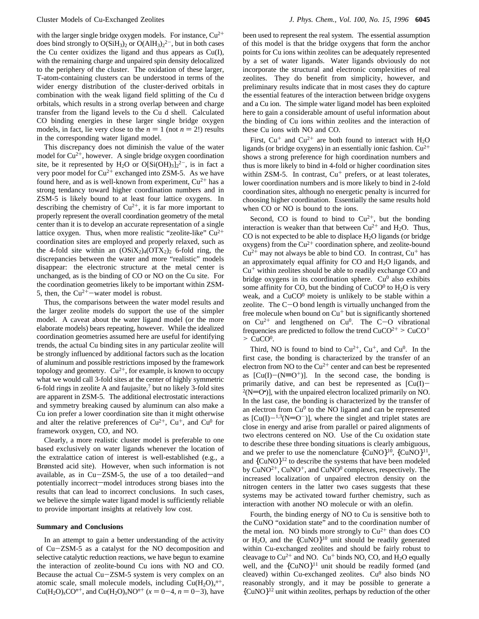with the larger single bridge oxygen models. For instance,  $Cu^{2+}$ does bind strongly to  $O(SiH_3)_2$  or  $O(AIH_3)_2^{2-}$ , but in both cases the Cu center oxidizes the ligand and thus appears as Cu(I), with the remaining charge and unpaired spin density delocalized to the periphery of the cluster. The oxidation of these larger, T-atom-containing clusters can be understood in terms of the wider energy distribution of the cluster-derived orbitals in combination with the weak ligand field splitting of the Cu d orbitals, which results in a strong overlap between and charge transfer from the ligand levels to the Cu d shell. Calculated CO binding energies in these larger single bridge oxygen models, in fact, lie very close to the  $n = 1$  (not  $n = 2!$ ) results in the corresponding water ligand model.

This discrepancy does not diminish the value of the water model for  $Cu^{2+}$ , however. A single bridge oxygen coordination site, be it represented by  $H_2O$  or  $O[Si(OH)_3]_2^{2-}$ , is in fact a very poor model for  $Cu^{2+}$  exchanged into ZSM-5. As we have found here, and as is well-known from experiment,  $Cu^{2+}$  has a strong tendancy toward higher coordination numbers and in ZSM-5 is likely bound to at least four lattice oxygens. In describing the chemistry of  $Cu^{2+}$ , it is far more important to properly represent the overall coordination geometry of the metal center than it is to develop an accurate representation of a single lattice oxygen. Thus, when more realistic "zeolite-like"  $Cu^{2+}$ coordination sites are employed and properly relaxed, such as the 4-fold site within an  $(OSiX_2)_4(OTX_2)_2$  6-fold ring, the discrepancies between the water and more "realistic" models disappear: the electronic structure at the metal center is unchanged, as is the binding of CO or NO on the Cu site. For the coordination geometries likely to be important within ZSM-5, then, the  $Cu^{2+}-w$  ater model is robust.

Thus, the comparisons between the water model results and the larger zeolite models do support the use of the simpler model. A caveat about the water ligand model (or the more elaborate models) bears repeating, however. While the idealized coordination geometries assumed here are useful for identifying trends, the actual Cu binding sites in any particular zeolite will be strongly influenced by additional factors such as the location of aluminum and possible restrictions imposed by the framework topology and geometry.  $Cu^{2+}$ , for example, is known to occupy what we would call 3-fold sites at the center of highly symmetric 6-fold rings in zeolite A and faujasite, $7$  but no likely 3-fold sites are apparent in ZSM-5. The additional electrostatic interactions and symmetry breaking caused by aluminum can also make a Cu ion prefer a lower coordination site than it might otherwise and alter the relative preferences of  $Cu^{2+}$ ,  $Cu^{+}$ , and  $Cu^{0}$  for framework oxygen, CO, and NO.

Clearly, a more realistic cluster model is preferable to one based exclusively on water ligands whenever the location of the extralattice cation of interest is well-established (e.g., a Brønsted acid site). However, when such information is not available, as in  $Cu-ZSM-5$ , the use of a too detailed—and potentially incorrect-model introduces strong biases into the results that can lead to incorrect conclusions. In such cases, we believe the simple water ligand model is sufficiently reliable to provide important insights at relatively low cost.

### **Summary and Conclusions**

In an attempt to gain a better understanding of the activity of Cu-ZSM-5 as a catalyst for the NO decomposition and selective catalytic reduction reactions, we have begun to examine the interaction of zeolite-bound Cu ions with NO and CO. Because the actual Cu-ZSM-5 system is very complex on an atomic scale, small molecule models, including  $Cu(H_2O)<sub>x</sub><sup>n+</sup>$ ,  $Cu(H<sub>2</sub>O)<sub>x</sub>CO<sup>n+</sup>$ , and  $Cu(H<sub>2</sub>O)<sub>x</sub>NO<sup>n+</sup>$  ( $x = 0-4$ ,  $n = 0-3$ ), have been used to represent the real system. The essential assumption of this model is that the bridge oxygens that form the anchor points for Cu ions within zeolites can be adequately represented by a set of water ligands. Water ligands obviously do not incorporate the structural and electronic complexities of real zeolites. They do benefit from simplicity, however, and preliminary results indicate that in most cases they do capture the essential features of the interaction between bridge oxygens and a Cu ion. The simple water ligand model has been exploited here to gain a considerable amount of useful information about the binding of Cu ions within zeolites and the interaction of these Cu ions with NO and CO.

First,  $Cu^+$  and  $Cu^{2+}$  are both found to interact with  $H_2O$ ligands (or bridge oxygens) in an essentially ionic fashion.  $Cu^{2+}$ shows a strong preference for high coordination numbers and thus is more likely to bind in 4-fold or higher coordination sites within ZSM-5. In contrast,  $Cu<sup>+</sup>$  prefers, or at least tolerates, lower coordination numbers and is more likely to bind in 2-fold coordination sites, although no energetic penalty is incurred for choosing higher coordination. Essentially the same results hold when CO or NO is bound to the ions.

Second, CO is found to bind to  $Cu^{2+}$ , but the bonding interaction is weaker than that between  $Cu^{2+}$  and  $H_2O$ . Thus, CO is not expected to be able to displace H2O ligands (or bridge oxygens) from the  $Cu^{2+}$  coordination sphere, and zeolite-bound  $Cu^{2+}$  may not always be able to bind CO. In contrast,  $Cu^+$  has an approximately equal affinity for  $CO$  and  $H<sub>2</sub>O$  ligands, and  $Cu<sup>+</sup>$  within zeolites should be able to readily exchange CO and bridge oxygens in its coordination sphere.  $Cu<sup>0</sup>$  also exhibits some affinity for CO, but the binding of  $CuCO<sup>0</sup>$  to  $H<sub>2</sub>O$  is very weak, and a  $CuCO<sup>0</sup>$  moiety is unlikely to be stable within a zeolite. The C-O bond length is virtually unchanged from the free molecule when bound on  $Cu<sup>+</sup>$  but is significantly shortened on  $Cu^{2+}$  and lengthened on  $Cu^{0}$ . The C-O vibrational frequencies are predicted to follow the trend  $CuCO^{2+} > CuCO^{+}$  $>$  CuCO<sup>0</sup>.

Third, NO is found to bind to  $Cu^{2+}$ ,  $Cu^{+}$ , and  $Cu^{0}$ . In the first case, the bonding is characterized by the transfer of an electron from NO to the  $Cu^{2+}$  center and can best be represented as  $[Cu(I) - (N \equiv 0^+)]$ . In the second case, the bonding is primarily dative, and can best be represented as  $[Cu(I)$ primarily dative, and can best be represented as  $[Cu(I) - \frac{2}{N}(-C^*)]$ , with the unpaired electron localized primarily on NO. In the last case, the bonding is characterized by the transfer of an electron from  $Cu<sup>0</sup>$  to the NO ligand and can be represented as  $[Cu(I)-1,3(N=O))$ , where the singlet and triplet states are close in energy and arise from parallel or paired alignments of two electrons centered on NO. Use of the Cu oxidation state to describe these three bonding situations is clearly ambiguous, and we prefer to use the nomenclature  $\{CuNO\}^{10}$ ,  $\{CuNO\}^{11}$ , and  ${CuNO}^{12}$  to describe the systems that have been modeled by  $CuNO^{2+}$ ,  $CuNO^{+}$ , and  $CuNO^{0}$  complexes, respectively. The increased localization of unpaired electron density on the nitrogen centers in the latter two cases suggests that these systems may be activated toward further chemistry, such as interaction with another NO molecule or with an olefin.

Fourth, the binding energy of NO to Cu is sensitive both to the CuNO "oxidation state" and to the coordination number of the metal ion. NO binds more strongly to  $Cu^{2+}$  than does CO or H<sub>2</sub>O, and the  ${CuNO}^{10}$  unit should be readily generated within Cu-exchanged zeolites and should be fairly robust to cleavage to  $Cu^{2+}$  and NO.  $Cu^{+}$  binds NO, CO, and H<sub>2</sub>O equally well, and the  ${CuNO}^{11}$  unit should be readily formed (and cleaved) within Cu-exchanged zeolites.  $Cu^{0}$  also binds NO reasonably strongly, and it may be possible to generate a  ${CuNO}^{12}$  unit within zeolites, perhaps by reduction of the other